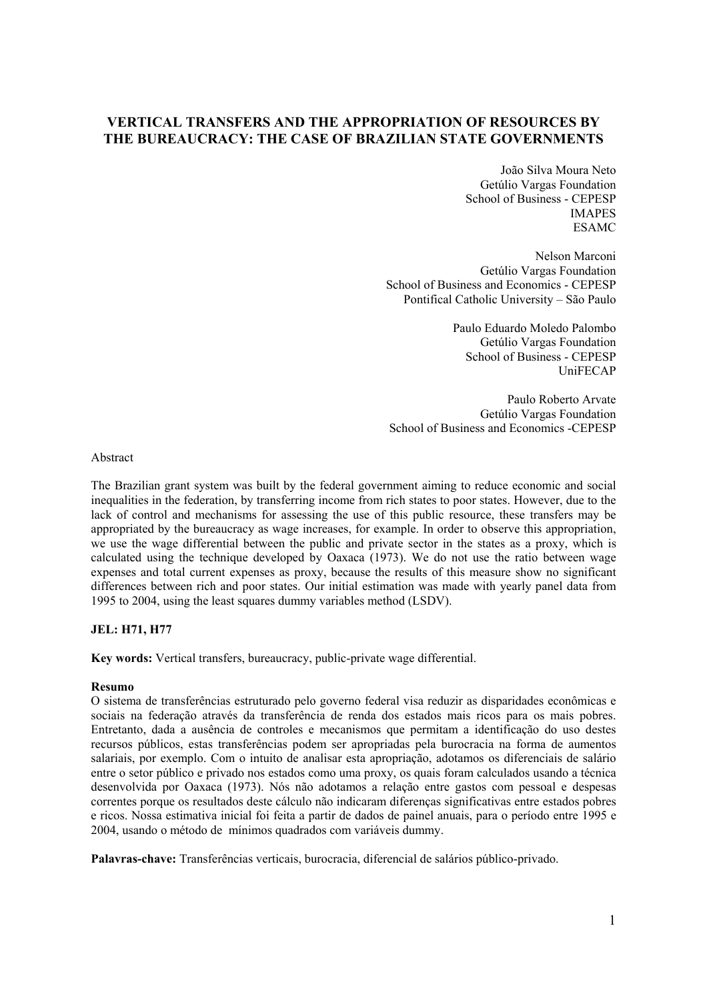# **VERTICAL TRANSFERS AND THE APPROPRIATION OF RESOURCES BY THE BUREAUCRACY: THE CASE OF BRAZILIAN STATE GOVERNMENTS**

João Silva Moura Neto Getúlio Vargas Foundation School of Business - CEPESP IMAPES ESAMC

Nelson Marconi Getúlio Vargas Foundation School of Business and Economics - CEPESP Pontifical Catholic University – São Paulo

> Paulo Eduardo Moledo Palombo Getúlio Vargas Foundation School of Business - CEPESP UniFECAP

Paulo Roberto Arvate Getúlio Vargas Foundation School of Business and Economics -CEPESP

Abstract

The Brazilian grant system was built by the federal government aiming to reduce economic and social inequalities in the federation, by transferring income from rich states to poor states. However, due to the lack of control and mechanisms for assessing the use of this public resource, these transfers may be appropriated by the bureaucracy as wage increases, for example. In order to observe this appropriation, we use the wage differential between the public and private sector in the states as a proxy, which is calculated using the technique developed by Oaxaca (1973). We do not use the ratio between wage expenses and total current expenses as proxy, because the results of this measure show no significant differences between rich and poor states. Our initial estimation was made with yearly panel data from 1995 to 2004, using the least squares dummy variables method (LSDV).

#### **JEL: H71, H77**

**Key words:** Vertical transfers, bureaucracy, public-private wage differential.

#### **Resumo**

O sistema de transferências estruturado pelo governo federal visa reduzir as disparidades econômicas e sociais na federação através da transferência de renda dos estados mais ricos para os mais pobres. Entretanto, dada a ausência de controles e mecanismos que permitam a identificação do uso destes recursos públicos, estas transferências podem ser apropriadas pela burocracia na forma de aumentos salariais, por exemplo. Com o intuito de analisar esta apropriação, adotamos os diferenciais de salário entre o setor público e privado nos estados como uma proxy, os quais foram calculados usando a técnica desenvolvida por Oaxaca (1973). Nós não adotamos a relação entre gastos com pessoal e despesas correntes porque os resultados deste cálculo não indicaram diferenças significativas entre estados pobres e ricos. Nossa estimativa inicial foi feita a partir de dados de painel anuais, para o período entre 1995 e 2004, usando o método de mínimos quadrados com variáveis dummy.

**Palavras-chave:** Transferências verticais, burocracia, diferencial de salários público-privado.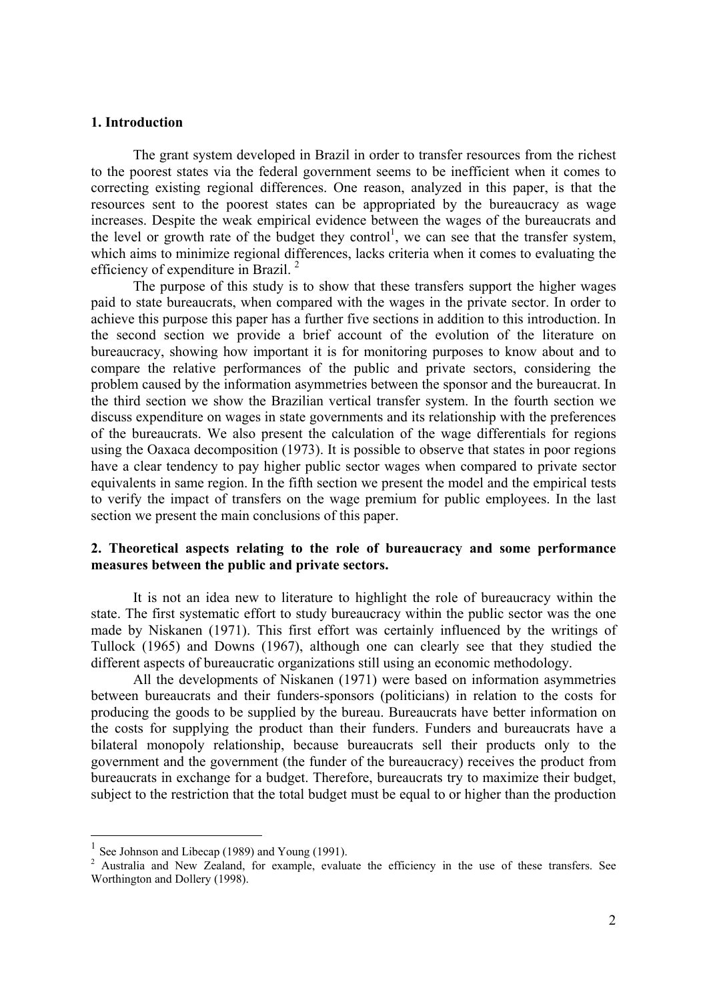## **1. Introduction**

The grant system developed in Brazil in order to transfer resources from the richest to the poorest states via the federal government seems to be inefficient when it comes to correcting existing regional differences. One reason, analyzed in this paper, is that the resources sent to the poorest states can be appropriated by the bureaucracy as wage increases. Despite the weak empirical evidence between the wages of the bureaucrats and the level or growth rate of the budget they control<sup>1</sup>, we can see that the transfer system, which aims to minimize regional differences, lacks criteria when it comes to evaluating the efficiency of expenditure in Brazil. 2

The purpose of this study is to show that these transfers support the higher wages paid to state bureaucrats, when compared with the wages in the private sector. In order to achieve this purpose this paper has a further five sections in addition to this introduction. In the second section we provide a brief account of the evolution of the literature on bureaucracy, showing how important it is for monitoring purposes to know about and to compare the relative performances of the public and private sectors, considering the problem caused by the information asymmetries between the sponsor and the bureaucrat. In the third section we show the Brazilian vertical transfer system. In the fourth section we discuss expenditure on wages in state governments and its relationship with the preferences of the bureaucrats. We also present the calculation of the wage differentials for regions using the Oaxaca decomposition (1973). It is possible to observe that states in poor regions have a clear tendency to pay higher public sector wages when compared to private sector equivalents in same region. In the fifth section we present the model and the empirical tests to verify the impact of transfers on the wage premium for public employees. In the last section we present the main conclusions of this paper.

## **2. Theoretical aspects relating to the role of bureaucracy and some performance measures between the public and private sectors.**

It is not an idea new to literature to highlight the role of bureaucracy within the state. The first systematic effort to study bureaucracy within the public sector was the one made by Niskanen (1971). This first effort was certainly influenced by the writings of Tullock (1965) and Downs (1967), although one can clearly see that they studied the different aspects of bureaucratic organizations still using an economic methodology.

All the developments of Niskanen (1971) were based on information asymmetries between bureaucrats and their funders-sponsors (politicians) in relation to the costs for producing the goods to be supplied by the bureau. Bureaucrats have better information on the costs for supplying the product than their funders. Funders and bureaucrats have a bilateral monopoly relationship, because bureaucrats sell their products only to the government and the government (the funder of the bureaucracy) receives the product from bureaucrats in exchange for a budget. Therefore, bureaucrats try to maximize their budget, subject to the restriction that the total budget must be equal to or higher than the production

 $\overline{a}$ 

See Johnson and Libecap (1989) and Young (1991).

<sup>&</sup>lt;sup>2</sup> Australia and New Zealand, for example, evaluate the efficiency in the use of these transfers. See Worthington and Dollery (1998).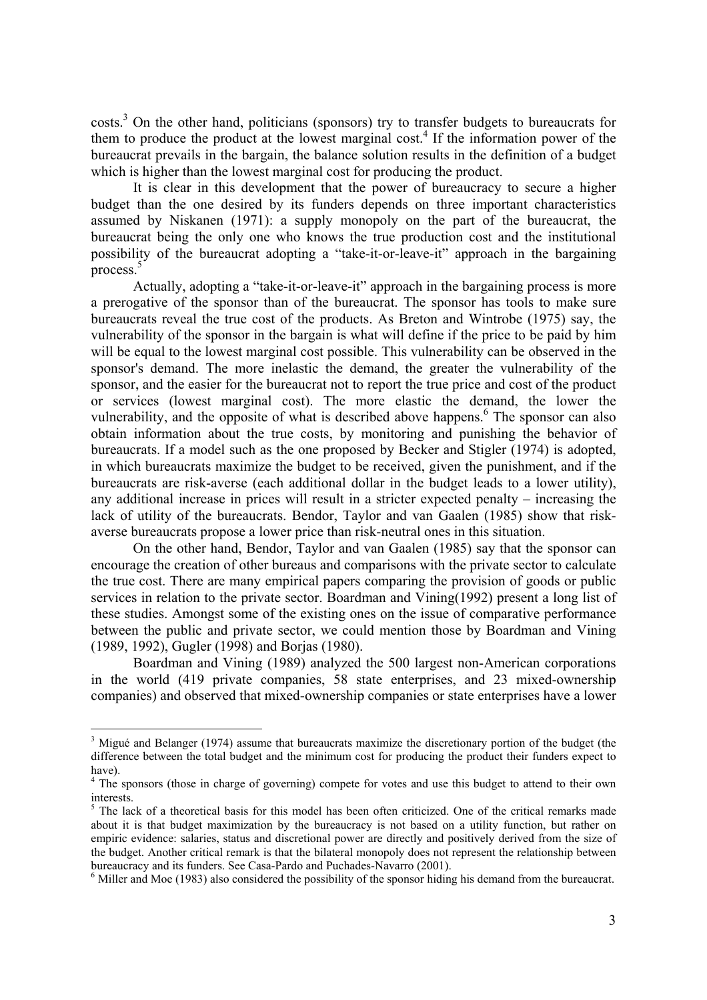costs.<sup>3</sup> On the other hand, politicians (sponsors) try to transfer budgets to bureaucrats for them to produce the product at the lowest marginal cost.<sup>4</sup> If the information power of the bureaucrat prevails in the bargain, the balance solution results in the definition of a budget which is higher than the lowest marginal cost for producing the product.

It is clear in this development that the power of bureaucracy to secure a higher budget than the one desired by its funders depends on three important characteristics assumed by Niskanen (1971): a supply monopoly on the part of the bureaucrat, the bureaucrat being the only one who knows the true production cost and the institutional possibility of the bureaucrat adopting a "take-it-or-leave-it" approach in the bargaining process.5

Actually, adopting a "take-it-or-leave-it" approach in the bargaining process is more a prerogative of the sponsor than of the bureaucrat. The sponsor has tools to make sure bureaucrats reveal the true cost of the products. As Breton and Wintrobe (1975) say, the vulnerability of the sponsor in the bargain is what will define if the price to be paid by him will be equal to the lowest marginal cost possible. This vulnerability can be observed in the sponsor's demand. The more inelastic the demand, the greater the vulnerability of the sponsor, and the easier for the bureaucrat not to report the true price and cost of the product or services (lowest marginal cost). The more elastic the demand, the lower the vulnerability, and the opposite of what is described above happens.<sup>6</sup> The sponsor can also obtain information about the true costs, by monitoring and punishing the behavior of bureaucrats. If a model such as the one proposed by Becker and Stigler (1974) is adopted, in which bureaucrats maximize the budget to be received, given the punishment, and if the bureaucrats are risk-averse (each additional dollar in the budget leads to a lower utility), any additional increase in prices will result in a stricter expected penalty – increasing the lack of utility of the bureaucrats. Bendor, Taylor and van Gaalen (1985) show that riskaverse bureaucrats propose a lower price than risk-neutral ones in this situation.

On the other hand, Bendor, Taylor and van Gaalen (1985) say that the sponsor can encourage the creation of other bureaus and comparisons with the private sector to calculate the true cost. There are many empirical papers comparing the provision of goods or public services in relation to the private sector. Boardman and Vining(1992) present a long list of these studies. Amongst some of the existing ones on the issue of comparative performance between the public and private sector, we could mention those by Boardman and Vining (1989, 1992), Gugler (1998) and Borjas (1980).

Boardman and Vining (1989) analyzed the 500 largest non-American corporations in the world (419 private companies, 58 state enterprises, and 23 mixed-ownership companies) and observed that mixed-ownership companies or state enterprises have a lower

 $\overline{a}$ 

 $3$  Migué and Belanger (1974) assume that bureaucrats maximize the discretionary portion of the budget (the difference between the total budget and the minimum cost for producing the product their funders expect to have).

<sup>&</sup>lt;sup>4</sup> The sponsors (those in charge of governing) compete for votes and use this budget to attend to their own interests.

<sup>&</sup>lt;sup>5</sup> The lack of a theoretical basis for this model has been often criticized. One of the critical remarks made about it is that budget maximization by the bureaucracy is not based on a utility function, but rather on empiric evidence: salaries, status and discretional power are directly and positively derived from the size of the budget. Another critical remark is that the bilateral monopoly does not represent the relationship between bureaucracy and its funders. See Casa-Pardo and Puchades-Navarro (2001).

 $6$  Miller and Moe (1983) also considered the possibility of the sponsor hiding his demand from the bureaucrat.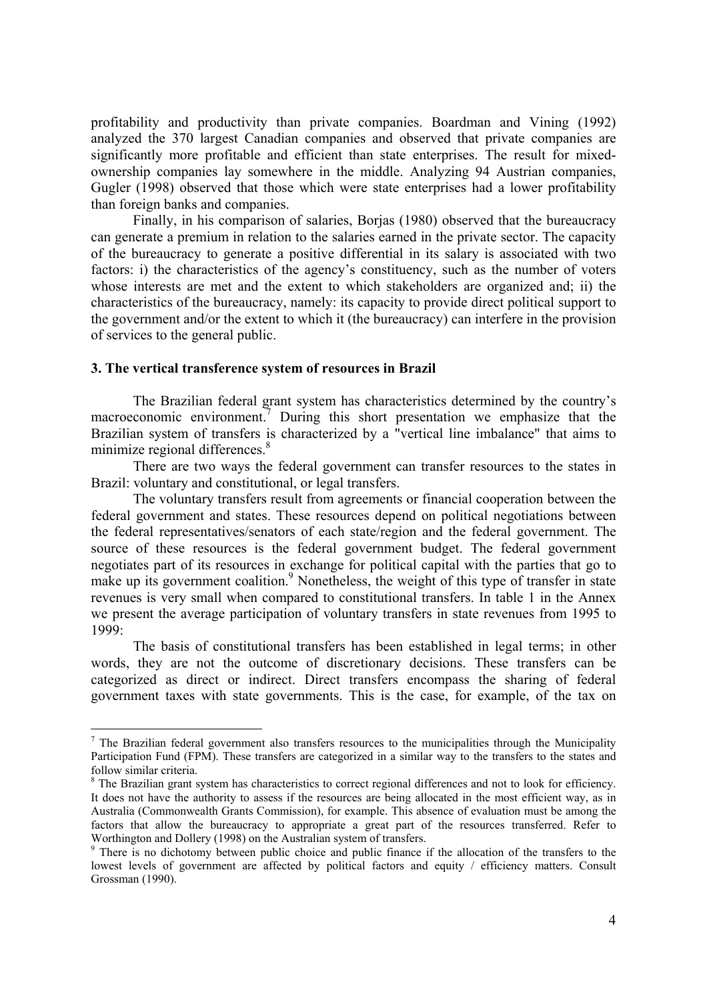profitability and productivity than private companies. Boardman and Vining (1992) analyzed the 370 largest Canadian companies and observed that private companies are significantly more profitable and efficient than state enterprises. The result for mixedownership companies lay somewhere in the middle. Analyzing 94 Austrian companies, Gugler (1998) observed that those which were state enterprises had a lower profitability than foreign banks and companies.

Finally, in his comparison of salaries, Borjas (1980) observed that the bureaucracy can generate a premium in relation to the salaries earned in the private sector. The capacity of the bureaucracy to generate a positive differential in its salary is associated with two factors: i) the characteristics of the agency's constituency, such as the number of voters whose interests are met and the extent to which stakeholders are organized and; ii) the characteristics of the bureaucracy, namely: its capacity to provide direct political support to the government and/or the extent to which it (the bureaucracy) can interfere in the provision of services to the general public.

#### **3. The vertical transference system of resources in Brazil**

 $\overline{a}$ 

The Brazilian federal grant system has characteristics determined by the country's macroeconomic environment.<sup>7</sup> During this short presentation we emphasize that the Brazilian system of transfers is characterized by a "vertical line imbalance" that aims to minimize regional differences.<sup>8</sup>

There are two ways the federal government can transfer resources to the states in Brazil: voluntary and constitutional, or legal transfers.

The voluntary transfers result from agreements or financial cooperation between the federal government and states. These resources depend on political negotiations between the federal representatives/senators of each state/region and the federal government. The source of these resources is the federal government budget. The federal government negotiates part of its resources in exchange for political capital with the parties that go to make up its government coalition.<sup>9</sup> Nonetheless, the weight of this type of transfer in state revenues is very small when compared to constitutional transfers. In table 1 in the Annex we present the average participation of voluntary transfers in state revenues from 1995 to 1999:

The basis of constitutional transfers has been established in legal terms; in other words, they are not the outcome of discretionary decisions. These transfers can be categorized as direct or indirect. Direct transfers encompass the sharing of federal government taxes with state governments. This is the case, for example, of the tax on

 $<sup>7</sup>$  The Brazilian federal government also transfers resources to the municipalities through the Municipality</sup> Participation Fund (FPM). These transfers are categorized in a similar way to the transfers to the states and follow similar criteria.

<sup>&</sup>lt;sup>8</sup> The Brazilian grant system has characteristics to correct regional differences and not to look for efficiency. It does not have the authority to assess if the resources are being allocated in the most efficient way, as in Australia (Commonwealth Grants Commission), for example. This absence of evaluation must be among the factors that allow the bureaucracy to appropriate a great part of the resources transferred. Refer to Worthington and Dollery (1998) on the Australian system of transfers.

<sup>&</sup>lt;sup>9</sup> There is no dichotomy between public choice and public finance if the allocation of the transfers to the lowest levels of government are affected by political factors and equity / efficiency matters. Consult Grossman (1990).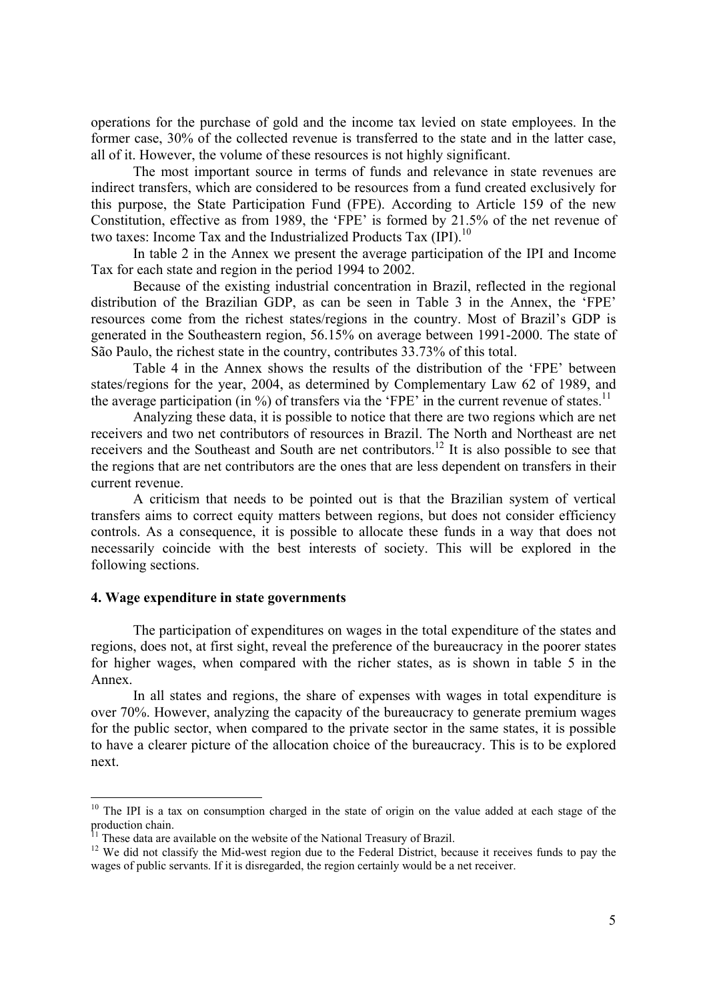operations for the purchase of gold and the income tax levied on state employees. In the former case, 30% of the collected revenue is transferred to the state and in the latter case, all of it. However, the volume of these resources is not highly significant.

The most important source in terms of funds and relevance in state revenues are indirect transfers, which are considered to be resources from a fund created exclusively for this purpose, the State Participation Fund (FPE). According to Article 159 of the new Constitution, effective as from 1989, the 'FPE' is formed by 21.5% of the net revenue of two taxes: Income Tax and the Industrialized Products Tax (IPI).<sup>10</sup>

In table 2 in the Annex we present the average participation of the IPI and Income Tax for each state and region in the period 1994 to 2002.

Because of the existing industrial concentration in Brazil, reflected in the regional distribution of the Brazilian GDP, as can be seen in Table 3 in the Annex, the 'FPE' resources come from the richest states/regions in the country. Most of Brazil's GDP is generated in the Southeastern region, 56.15% on average between 1991-2000. The state of São Paulo, the richest state in the country, contributes 33.73% of this total.

Table 4 in the Annex shows the results of the distribution of the 'FPE' between states/regions for the year, 2004, as determined by Complementary Law 62 of 1989, and the average participation (in  $\%$ ) of transfers via the 'FPE' in the current revenue of states.<sup>11</sup>

Analyzing these data, it is possible to notice that there are two regions which are net receivers and two net contributors of resources in Brazil. The North and Northeast are net receivers and the Southeast and South are net contributors.12 It is also possible to see that the regions that are net contributors are the ones that are less dependent on transfers in their current revenue.

A criticism that needs to be pointed out is that the Brazilian system of vertical transfers aims to correct equity matters between regions, but does not consider efficiency controls. As a consequence, it is possible to allocate these funds in a way that does not necessarily coincide with the best interests of society. This will be explored in the following sections.

## **4. Wage expenditure in state governments**

 $\overline{a}$ 

The participation of expenditures on wages in the total expenditure of the states and regions, does not, at first sight, reveal the preference of the bureaucracy in the poorer states for higher wages, when compared with the richer states, as is shown in table 5 in the Annex.

In all states and regions, the share of expenses with wages in total expenditure is over 70%. However, analyzing the capacity of the bureaucracy to generate premium wages for the public sector, when compared to the private sector in the same states, it is possible to have a clearer picture of the allocation choice of the bureaucracy. This is to be explored next.

<sup>&</sup>lt;sup>10</sup> The IPI is a tax on consumption charged in the state of origin on the value added at each stage of the production chain.<br><sup>11</sup> These data are available on the website of the National Treasury of Brazil.

 $12$  We did not classify the Mid-west region due to the Federal District, because it receives funds to pay the wages of public servants. If it is disregarded, the region certainly would be a net receiver.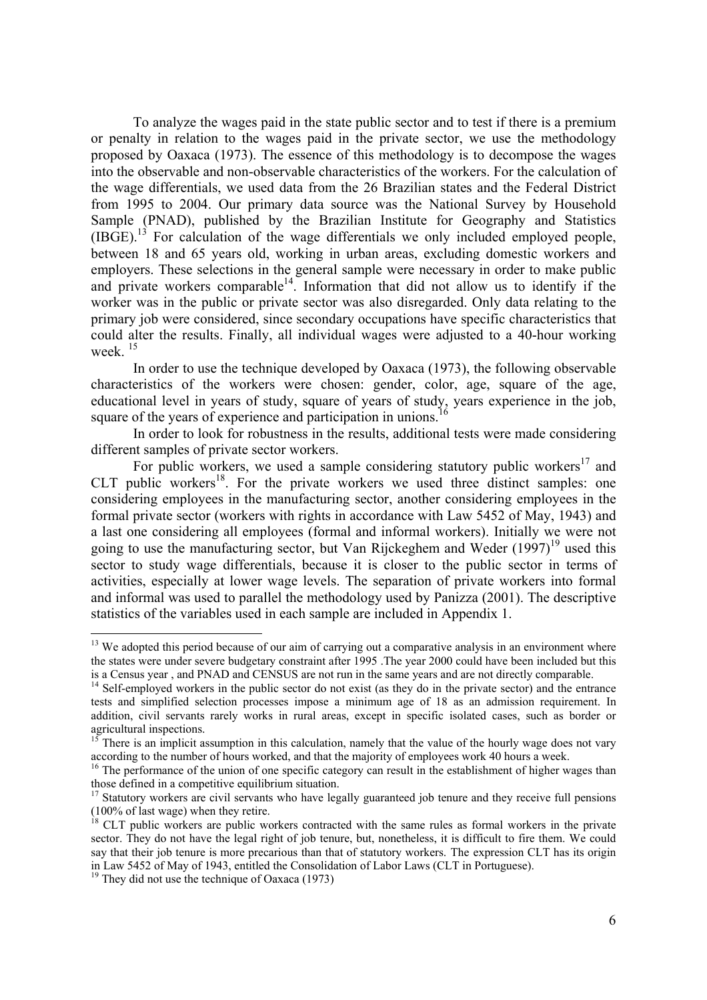To analyze the wages paid in the state public sector and to test if there is a premium or penalty in relation to the wages paid in the private sector, we use the methodology proposed by Oaxaca (1973). The essence of this methodology is to decompose the wages into the observable and non-observable characteristics of the workers. For the calculation of the wage differentials, we used data from the 26 Brazilian states and the Federal District from 1995 to 2004. Our primary data source was the National Survey by Household Sample (PNAD), published by the Brazilian Institute for Geography and Statistics  $(IBGE)$ .<sup>13</sup> For calculation of the wage differentials we only included employed people, between 18 and 65 years old, working in urban areas, excluding domestic workers and employers. These selections in the general sample were necessary in order to make public and private workers comparable<sup> $14$ </sup>. Information that did not allow us to identify if the worker was in the public or private sector was also disregarded. Only data relating to the primary job were considered, since secondary occupations have specific characteristics that could alter the results. Finally, all individual wages were adjusted to a 40-hour working week $15$ 

In order to use the technique developed by Oaxaca (1973), the following observable characteristics of the workers were chosen: gender, color, age, square of the age, educational level in years of study, square of years of study, years experience in the job, square of the years of experience and participation in unions.

In order to look for robustness in the results, additional tests were made considering different samples of private sector workers.

For public workers, we used a sample considering statutory public workers<sup>17</sup> and CLT public workers<sup>18</sup>. For the private workers we used three distinct samples: one considering employees in the manufacturing sector, another considering employees in the formal private sector (workers with rights in accordance with Law 5452 of May, 1943) and a last one considering all employees (formal and informal workers). Initially we were not going to use the manufacturing sector, but Van Rijckeghem and Weder  $(1997)^{19}$  used this sector to study wage differentials, because it is closer to the public sector in terms of activities, especially at lower wage levels. The separation of private workers into formal and informal was used to parallel the methodology used by Panizza (2001). The descriptive statistics of the variables used in each sample are included in Appendix 1.

 $\overline{a}$ 

<sup>&</sup>lt;sup>13</sup> We adopted this period because of our aim of carrying out a comparative analysis in an environment where the states were under severe budgetary constraint after 1995 .The year 2000 could have been included but this <sup>14</sup> Self-employed workers in the public sector do not exist (as they do in the private sector) and the entrance  $14$ 

tests and simplified selection processes impose a minimum age of 18 as an admission requirement. In addition, civil servants rarely works in rural areas, except in specific isolated cases, such as border or agricultural inspections.

<sup>&</sup>lt;sup>15</sup> There is an implicit assumption in this calculation, namely that the value of the hourly wage does not vary according to the number of hours worked, and that the majority of employees work 40 hours a week.<br><sup>16</sup> The performance of the union of one specific category can result in the establishment of higher wages than

those defined in a competitive equilibrium situation.

<sup>&</sup>lt;sup>17</sup> Statutory workers are civil servants who have legally guaranteed job tenure and they receive full pensions (100% of last wage) when they retire.

 $18$  CLT public workers are public workers contracted with the same rules as formal workers in the private sector. They do not have the legal right of job tenure, but, nonetheless, it is difficult to fire them. We could say that their job tenure is more precarious than that of statutory workers. The expression CLT has its origin in Law 5452 of May of 1943, entitled the Consolidation of Labor Laws (CLT in Portuguese). 19 They did not use the technique of Oaxaca (1973)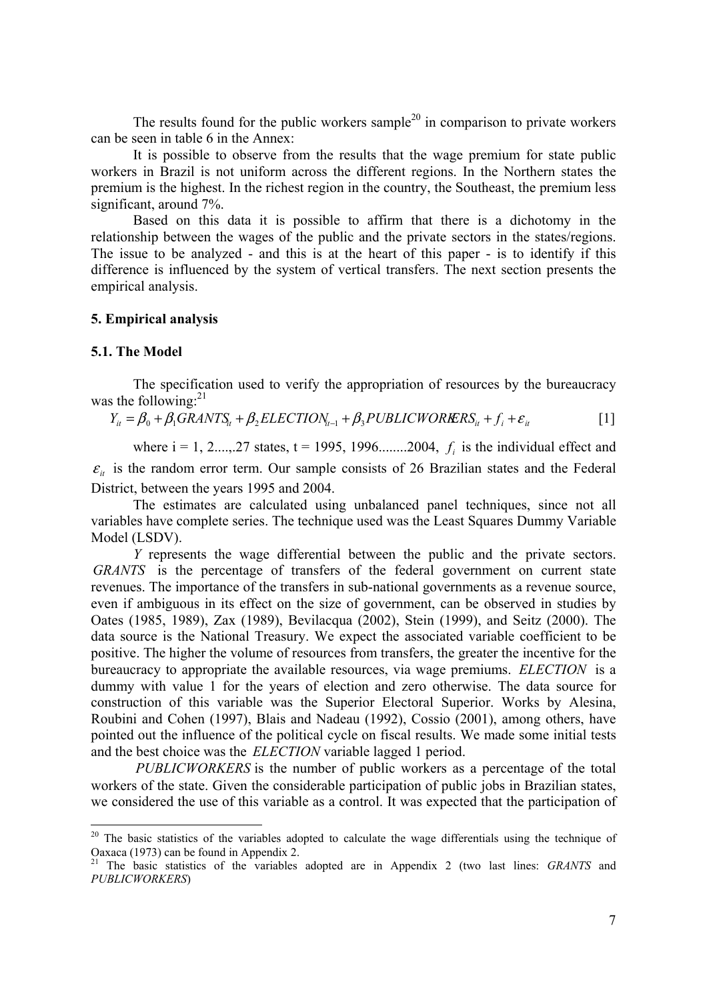The results found for the public workers sample<sup>20</sup> in comparison to private workers can be seen in table 6 in the Annex:

It is possible to observe from the results that the wage premium for state public workers in Brazil is not uniform across the different regions. In the Northern states the premium is the highest. In the richest region in the country, the Southeast, the premium less significant, around 7%.

Based on this data it is possible to affirm that there is a dichotomy in the relationship between the wages of the public and the private sectors in the states/regions. The issue to be analyzed - and this is at the heart of this paper - is to identify if this difference is influenced by the system of vertical transfers. The next section presents the empirical analysis.

## **5. Empirical analysis**

#### **5.1. The Model**

 $\overline{a}$ 

The specification used to verify the appropriation of resources by the bureaucracy was the following: $^{21}$ 

$$
Y_{it} = \beta_0 + \beta_1 GRANT S_{it} + \beta_2 ELECTION_{it-1} + \beta_3 PUBLICWORES_{it} + f_i + \varepsilon_{it}
$$
 [1]

where  $i = 1, 2, \ldots, 27$  states,  $t = 1995, 1996, \ldots, 2004, f_i$  is the individual effect and  $\varepsilon$ <sub>*it*</sub> is the random error term. Our sample consists of 26 Brazilian states and the Federal District, between the years 1995 and 2004.

The estimates are calculated using unbalanced panel techniques, since not all variables have complete series. The technique used was the Least Squares Dummy Variable Model (LSDV).

*Y* represents the wage differential between the public and the private sectors. *GRANTS* is the percentage of transfers of the federal government on current state revenues. The importance of the transfers in sub-national governments as a revenue source, even if ambiguous in its effect on the size of government, can be observed in studies by Oates (1985, 1989), Zax (1989), Bevilacqua (2002), Stein (1999), and Seitz (2000). The data source is the National Treasury. We expect the associated variable coefficient to be positive. The higher the volume of resources from transfers, the greater the incentive for the bureaucracy to appropriate the available resources, via wage premiums. *ELECTION* is a dummy with value 1 for the years of election and zero otherwise. The data source for construction of this variable was the Superior Electoral Superior. Works by Alesina, Roubini and Cohen (1997), Blais and Nadeau (1992), Cossio (2001), among others, have pointed out the influence of the political cycle on fiscal results. We made some initial tests and the best choice was the *ELECTION* variable lagged 1 period.

*PUBLICWORKERS* is the number of public workers as a percentage of the total workers of the state. Given the considerable participation of public jobs in Brazilian states, we considered the use of this variable as a control. It was expected that the participation of

<sup>&</sup>lt;sup>20</sup> The basic statistics of the variables adopted to calculate the wage differentials using the technique of Oaxaca (1973) can be found in Appendix 2.

<sup>&</sup>lt;sup>21</sup> The basic statistics of the variables adopted are in Appendix 2 (two last lines: *GRANTS* and *PUBLICWORKERS*)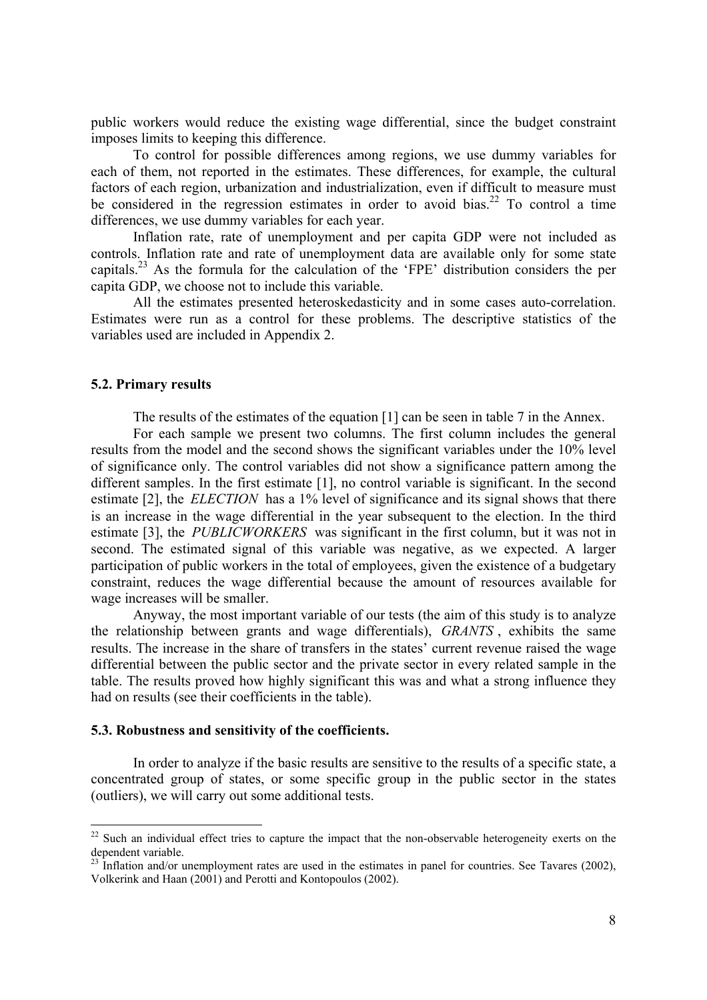public workers would reduce the existing wage differential, since the budget constraint imposes limits to keeping this difference.

To control for possible differences among regions, we use dummy variables for each of them, not reported in the estimates. These differences, for example, the cultural factors of each region, urbanization and industrialization, even if difficult to measure must be considered in the regression estimates in order to avoid bias.<sup>22</sup> To control a time differences, we use dummy variables for each year.

Inflation rate, rate of unemployment and per capita GDP were not included as controls. Inflation rate and rate of unemployment data are available only for some state capitals.23 As the formula for the calculation of the 'FPE' distribution considers the per capita GDP, we choose not to include this variable.

All the estimates presented heteroskedasticity and in some cases auto-correlation. Estimates were run as a control for these problems. The descriptive statistics of the variables used are included in Appendix 2.

#### **5.2. Primary results**

 $\overline{a}$ 

The results of the estimates of the equation [1] can be seen in table 7 in the Annex.

For each sample we present two columns. The first column includes the general results from the model and the second shows the significant variables under the 10% level of significance only. The control variables did not show a significance pattern among the different samples. In the first estimate [1], no control variable is significant. In the second estimate [2], the *ELECTION* has a 1% level of significance and its signal shows that there is an increase in the wage differential in the year subsequent to the election. In the third estimate [3], the *PUBLICWORKERS* was significant in the first column, but it was not in second. The estimated signal of this variable was negative, as we expected. A larger participation of public workers in the total of employees, given the existence of a budgetary constraint, reduces the wage differential because the amount of resources available for wage increases will be smaller.

Anyway, the most important variable of our tests (the aim of this study is to analyze the relationship between grants and wage differentials), *GRANTS* , exhibits the same results. The increase in the share of transfers in the states' current revenue raised the wage differential between the public sector and the private sector in every related sample in the table. The results proved how highly significant this was and what a strong influence they had on results (see their coefficients in the table).

#### **5.3. Robustness and sensitivity of the coefficients.**

In order to analyze if the basic results are sensitive to the results of a specific state, a concentrated group of states, or some specific group in the public sector in the states (outliers), we will carry out some additional tests.

 $22$  Such an individual effect tries to capture the impact that the non-observable heterogeneity exerts on the dependent variable.

 $^{23}$  Inflation and/or unemployment rates are used in the estimates in panel for countries. See Tavares (2002), Volkerink and Haan (2001) and Perotti and Kontopoulos (2002).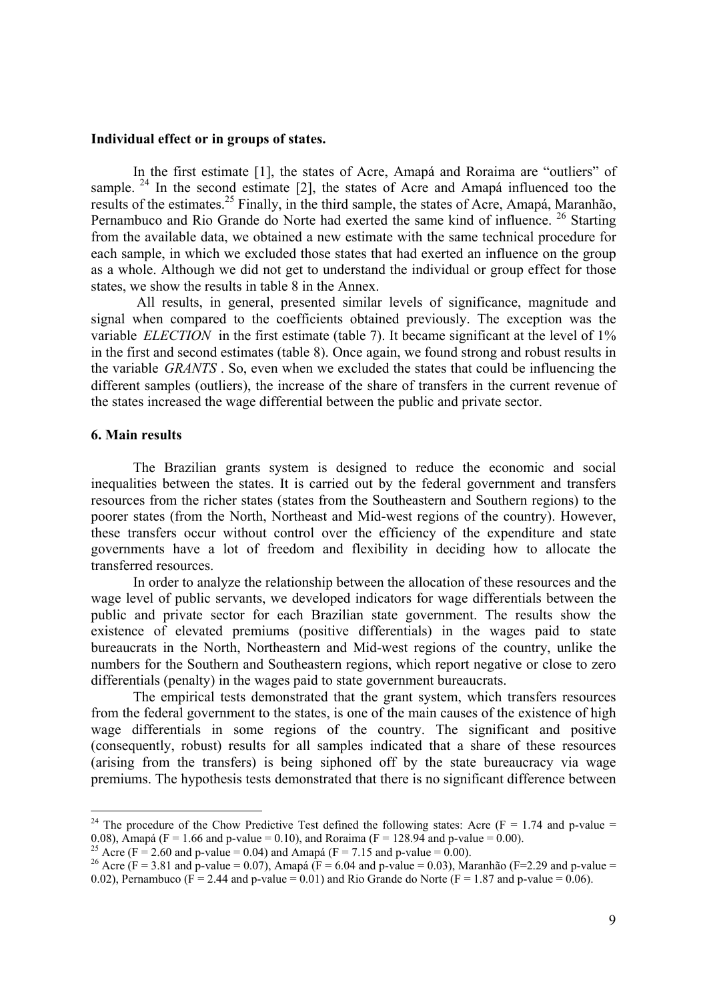#### **Individual effect or in groups of states.**

In the first estimate [1], the states of Acre, Amapá and Roraima are "outliers" of sample. <sup>24</sup> In the second estimate [2], the states of Acre and Amapá influenced too the results of the estimates.<sup>25</sup> Finally, in the third sample, the states of Acre, Amapá, Maranhão, Pernambuco and Rio Grande do Norte had exerted the same kind of influence. <sup>26</sup> Starting from the available data, we obtained a new estimate with the same technical procedure for each sample, in which we excluded those states that had exerted an influence on the group as a whole. Although we did not get to understand the individual or group effect for those states, we show the results in table 8 in the Annex.

 All results, in general, presented similar levels of significance, magnitude and signal when compared to the coefficients obtained previously. The exception was the variable *ELECTION* in the first estimate (table 7). It became significant at the level of 1% in the first and second estimates (table 8). Once again, we found strong and robust results in the variable *GRANTS* . So, even when we excluded the states that could be influencing the different samples (outliers), the increase of the share of transfers in the current revenue of the states increased the wage differential between the public and private sector.

#### **6. Main results**

 $\overline{a}$ 

The Brazilian grants system is designed to reduce the economic and social inequalities between the states. It is carried out by the federal government and transfers resources from the richer states (states from the Southeastern and Southern regions) to the poorer states (from the North, Northeast and Mid-west regions of the country). However, these transfers occur without control over the efficiency of the expenditure and state governments have a lot of freedom and flexibility in deciding how to allocate the transferred resources.

In order to analyze the relationship between the allocation of these resources and the wage level of public servants, we developed indicators for wage differentials between the public and private sector for each Brazilian state government. The results show the existence of elevated premiums (positive differentials) in the wages paid to state bureaucrats in the North, Northeastern and Mid-west regions of the country, unlike the numbers for the Southern and Southeastern regions, which report negative or close to zero differentials (penalty) in the wages paid to state government bureaucrats.

The empirical tests demonstrated that the grant system, which transfers resources from the federal government to the states, is one of the main causes of the existence of high wage differentials in some regions of the country. The significant and positive (consequently, robust) results for all samples indicated that a share of these resources (arising from the transfers) is being siphoned off by the state bureaucracy via wage premiums. The hypothesis tests demonstrated that there is no significant difference between

<sup>&</sup>lt;sup>24</sup> The procedure of the Chow Predictive Test defined the following states: Acre (F = 1.74 and p-value = 0.08), Amapá (F = 1.66 and p-value = 0.10), and Roraima (F = 128.94 and p-value = 0.00).

<sup>&</sup>lt;sup>25</sup> Acre (F = 2.60 and p-value = 0.04) and Amapá (F = 7.15 and p-value = 0.00).

<sup>&</sup>lt;sup>26</sup> Acre (F = 3.81 and p-value = 0.07), Amapá (F = 6.04 and p-value = 0.03), Maranhão (F=2.29 and p-value = 0.02), Pernambuco ( $F = 2.44$  and p-value = 0.01) and Rio Grande do Norte ( $F = 1.87$  and p-value = 0.06).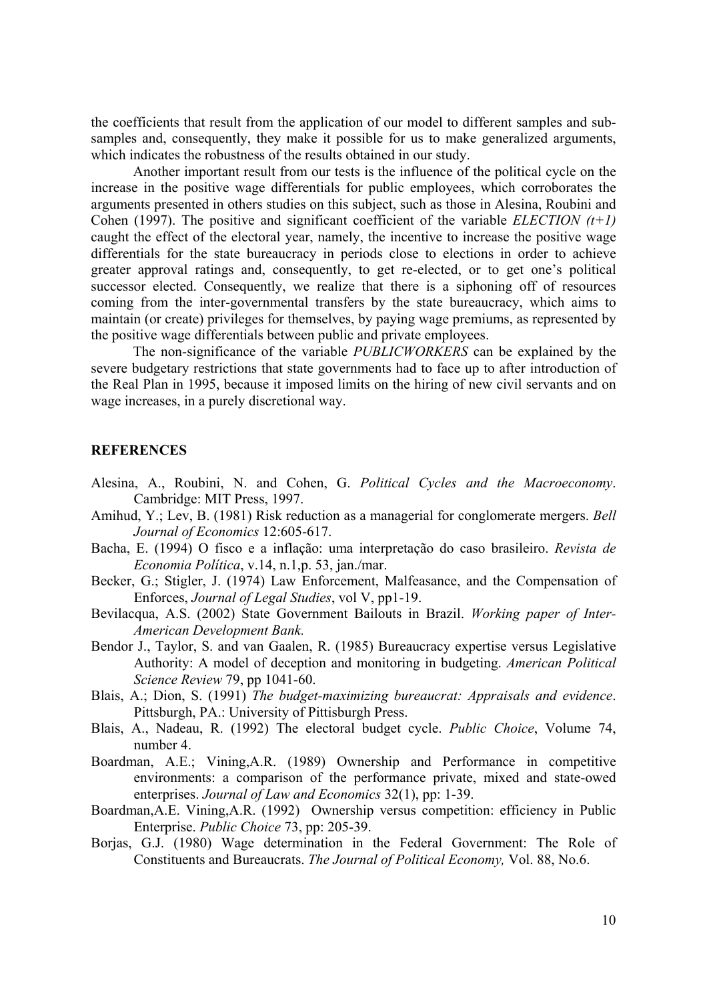the coefficients that result from the application of our model to different samples and subsamples and, consequently, they make it possible for us to make generalized arguments, which indicates the robustness of the results obtained in our study.

Another important result from our tests is the influence of the political cycle on the increase in the positive wage differentials for public employees, which corroborates the arguments presented in others studies on this subject, such as those in Alesina, Roubini and Cohen (1997). The positive and significant coefficient of the variable *ELECTION (t+1)* caught the effect of the electoral year, namely, the incentive to increase the positive wage differentials for the state bureaucracy in periods close to elections in order to achieve greater approval ratings and, consequently, to get re-elected, or to get one's political successor elected. Consequently, we realize that there is a siphoning off of resources coming from the inter-governmental transfers by the state bureaucracy, which aims to maintain (or create) privileges for themselves, by paying wage premiums, as represented by the positive wage differentials between public and private employees.

The non-significance of the variable *PUBLICWORKERS* can be explained by the severe budgetary restrictions that state governments had to face up to after introduction of the Real Plan in 1995, because it imposed limits on the hiring of new civil servants and on wage increases, in a purely discretional way.

#### **REFERENCES**

- Alesina, A., Roubini, N. and Cohen, G. *Political Cycles and the Macroeconomy*. Cambridge: MIT Press, 1997.
- Amihud, Y.; Lev, B. (1981) Risk reduction as a managerial for conglomerate mergers. *Bell Journal of Economics* 12:605-617.
- Bacha, E. (1994) O fisco e a inflação: uma interpretação do caso brasileiro. *Revista de Economia Política*, v.14, n.1,p. 53, jan./mar.
- Becker, G.; Stigler, J. (1974) Law Enforcement, Malfeasance, and the Compensation of Enforces, *Journal of Legal Studies*, vol V, pp1-19.
- Bevilacqua, A.S. (2002) State Government Bailouts in Brazil. *Working paper of Inter-American Development Bank.*
- Bendor J., Taylor, S. and van Gaalen, R. (1985) Bureaucracy expertise versus Legislative Authority: A model of deception and monitoring in budgeting. *American Political Science Review* 79, pp 1041-60.
- Blais, A.; Dion, S. (1991) *The budget-maximizing bureaucrat: Appraisals and evidence*. Pittsburgh, PA.: University of Pittisburgh Press.
- Blais, A., Nadeau, R. (1992) The electoral budget cycle. *Public Choice*, Volume 74, number 4.
- Boardman, A.E.; Vining,A.R. (1989) Ownership and Performance in competitive environments: a comparison of the performance private, mixed and state-owed enterprises. *Journal of Law and Economics* 32(1), pp: 1-39.
- Boardman,A.E. Vining,A.R. (1992) Ownership versus competition: efficiency in Public Enterprise. *Public Choice* 73, pp: 205-39.
- Borjas, G.J. (1980) Wage determination in the Federal Government: The Role of Constituents and Bureaucrats. *The Journal of Political Economy,* Vol. 88, No.6.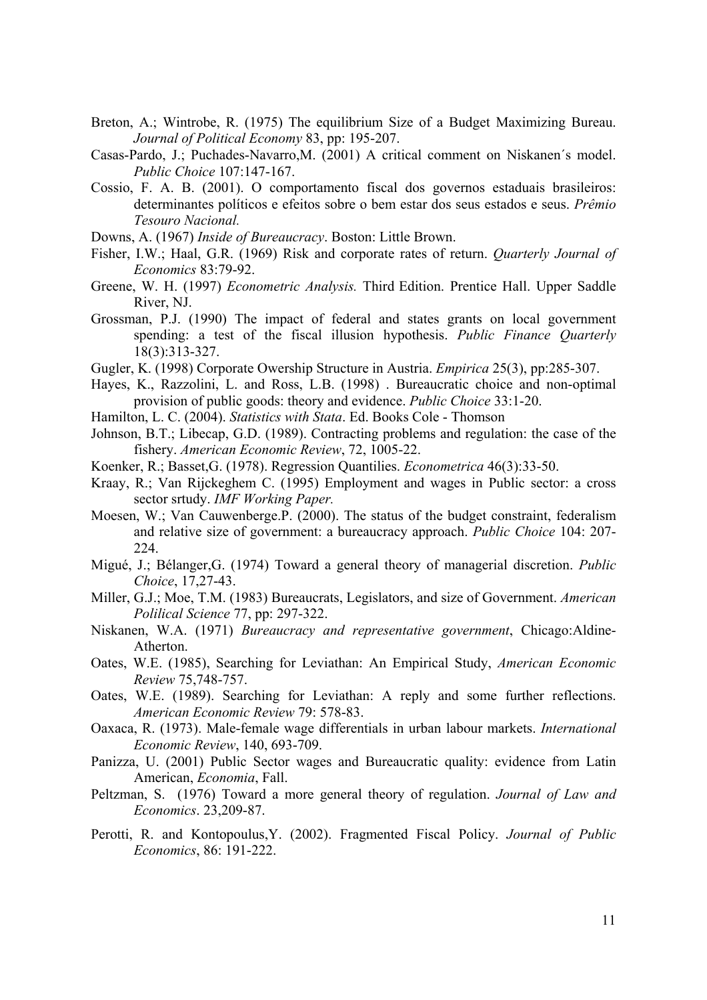- Breton, A.; Wintrobe, R. (1975) The equilibrium Size of a Budget Maximizing Bureau. *Journal of Political Economy* 83, pp: 195-207.
- Casas-Pardo, J.; Puchades-Navarro,M. (2001) A critical comment on Niskanen´s model. *Public Choice* 107:147-167.
- Cossio, F. A. B. (2001). O comportamento fiscal dos governos estaduais brasileiros: determinantes políticos e efeitos sobre o bem estar dos seus estados e seus. *Prêmio Tesouro Nacional.*
- Downs, A. (1967) *Inside of Bureaucracy*. Boston: Little Brown.
- Fisher, I.W.; Haal, G.R. (1969) Risk and corporate rates of return. *Quarterly Journal of Economics* 83:79-92.
- Greene, W. H. (1997) *Econometric Analysis.* Third Edition. Prentice Hall. Upper Saddle River, NJ.
- Grossman, P.J. (1990) The impact of federal and states grants on local government spending: a test of the fiscal illusion hypothesis. *Public Finance Quarterly* 18(3):313-327.
- Gugler, K. (1998) Corporate Owership Structure in Austria. *Empirica* 25(3), pp:285-307.
- Hayes, K., Razzolini, L. and Ross, L.B. (1998) . Bureaucratic choice and non-optimal provision of public goods: theory and evidence. *Public Choice* 33:1-20.
- Hamilton, L. C. (2004). *Statistics with Stata*. Ed. Books Cole Thomson
- Johnson, B.T.; Libecap, G.D. (1989). Contracting problems and regulation: the case of the fishery. *American Economic Review*, 72, 1005-22.
- Koenker, R.; Basset,G. (1978). Regression Quantilies. *Econometrica* 46(3):33-50.
- Kraay, R.; Van Rijckeghem C. (1995) Employment and wages in Public sector: a cross sector srtudy. *IMF Working Paper.*
- Moesen, W.; Van Cauwenberge.P. (2000). The status of the budget constraint, federalism and relative size of government: a bureaucracy approach. *Public Choice* 104: 207- 224.
- Migué, J.; Bélanger,G. (1974) Toward a general theory of managerial discretion. *Public Choice*, 17,27-43.
- Miller, G.J.; Moe, T.M. (1983) Bureaucrats, Legislators, and size of Government. *American Polilical Science* 77, pp: 297-322.
- Niskanen, W.A. (1971) *Bureaucracy and representative government*, Chicago:Aldine-Atherton.
- Oates, W.E. (1985), Searching for Leviathan: An Empirical Study, *American Economic Review* 75,748-757.
- Oates, W.E. (1989). Searching for Leviathan: A reply and some further reflections. *American Economic Review* 79: 578-83.
- Oaxaca, R. (1973). Male-female wage differentials in urban labour markets. *International Economic Review*, 140, 693-709.
- Panizza, U. (2001) Public Sector wages and Bureaucratic quality: evidence from Latin American, *Economia*, Fall.
- Peltzman, S. (1976) Toward a more general theory of regulation. *Journal of Law and Economics*. 23,209-87.
- Perotti, R. and Kontopoulus,Y. (2002). Fragmented Fiscal Policy. *Journal of Public Economics*, 86: 191-222.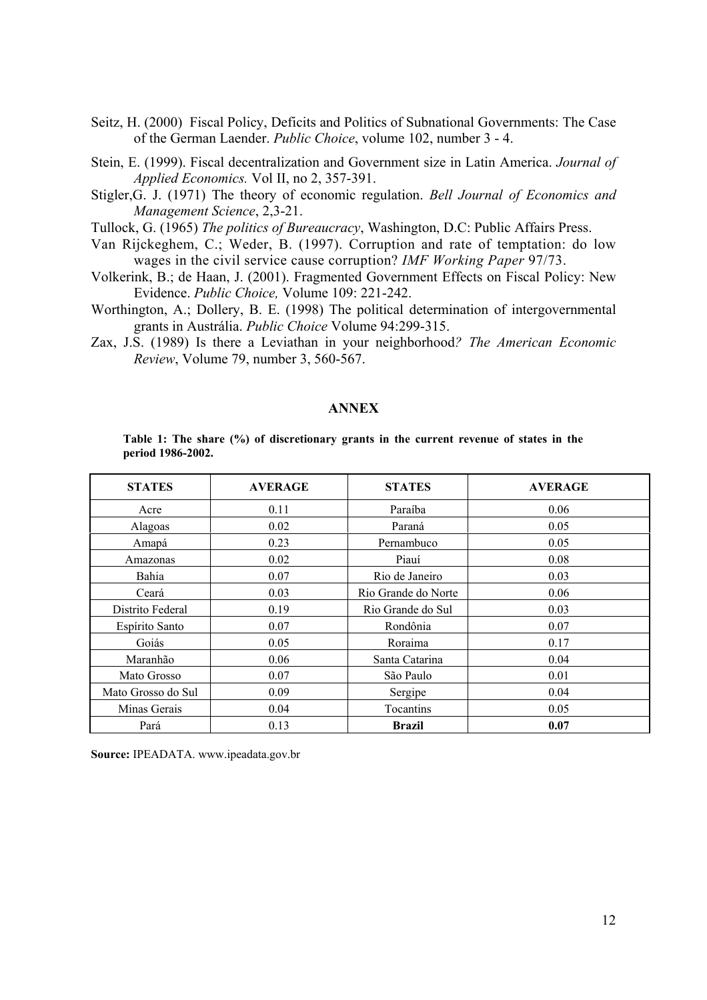- Seitz, H. (2000) Fiscal Policy, Deficits and Politics of Subnational Governments: The Case of the German Laender. *Public Choice*, volume 102, number 3 - 4.
- Stein, E. (1999). Fiscal decentralization and Government size in Latin America. *Journal of Applied Economics.* Vol II, no 2, 357-391.
- Stigler,G. J. (1971) The theory of economic regulation. *Bell Journal of Economics and Management Science*, 2,3-21.
- Tullock, G. (1965) *The politics of Bureaucracy*, Washington, D.C: Public Affairs Press.
- Van Rijckeghem, C.; Weder, B. (1997). Corruption and rate of temptation: do low wages in the civil service cause corruption? *IMF Working Paper* 97/73.
- Volkerink, B.; de Haan, J. (2001). Fragmented Government Effects on Fiscal Policy: New Evidence. *Public Choice,* Volume 109: 221-242.
- Worthington, A.; Dollery, B. E. (1998) The political determination of intergovernmental grants in Austrália. *Public Choice* Volume 94:299-315.
- Zax, J.S. (1989) Is there a Leviathan in your neighborhood*? The American Economic Review*, Volume 79, number 3, 560-567.

#### **ANNEX**

**Table 1: The share (%) of discretionary grants in the current revenue of states in the period 1986-2002.**

| <b>STATES</b>      | <b>AVERAGE</b> | <b>STATES</b>       | <b>AVERAGE</b> |
|--------------------|----------------|---------------------|----------------|
| Acre               | 0.11           | Paraíba             | 0.06           |
| Alagoas            | 0.02           | Paraná              | 0.05           |
| Amapá              | 0.23           | Pernambuco          | 0.05           |
| Amazonas           | 0.02           | Piauí               | 0.08           |
| Bahia              | 0.07           | Rio de Janeiro      | 0.03           |
| Ceará              | 0.03           | Rio Grande do Norte | 0.06           |
| Distrito Federal   | 0.19           | Rio Grande do Sul   | 0.03           |
| Espírito Santo     | 0.07           | Rondônia            | 0.07           |
| Goiás              | 0.05           | Roraima             | 0.17           |
| Maranhão           | 0.06           | Santa Catarina      | 0.04           |
| Mato Grosso        | 0.07           | São Paulo           | 0.01           |
| Mato Grosso do Sul | 0.09           | Sergipe             | 0.04           |
| Minas Gerais       | 0.04           | Tocantins           | 0.05           |
| Pará               | 0.13           | <b>Brazil</b>       | 0.07           |

**Source:** IPEADATA. www.ipeadata.gov.br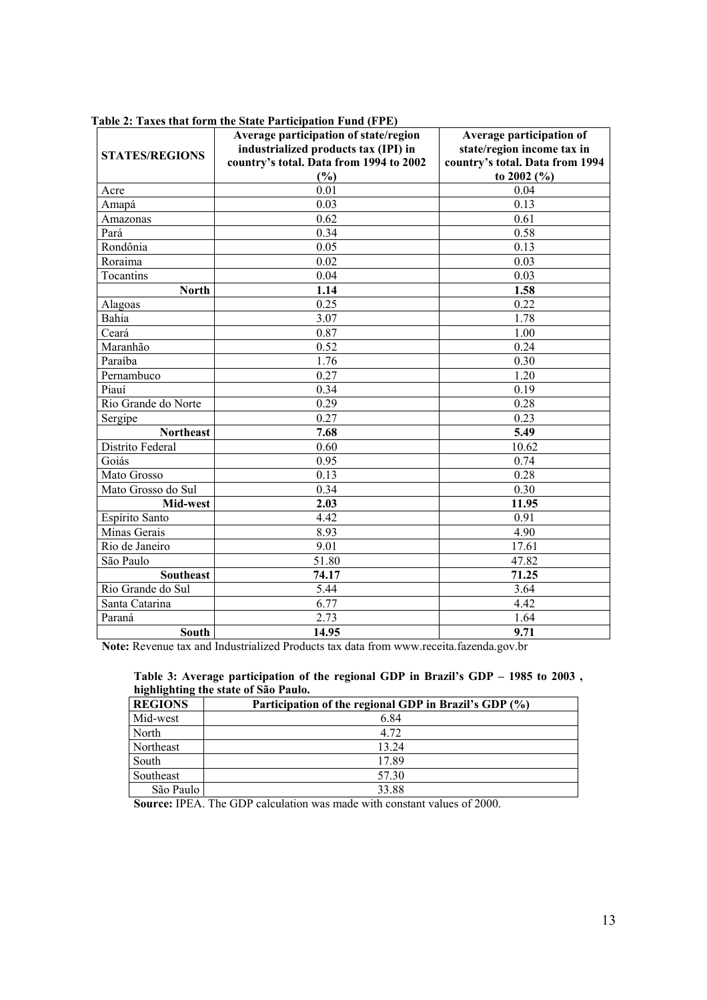|                       | Average participation of state/region<br>industrialized products tax (IPI) in | Average participation of<br>state/region income tax in |
|-----------------------|-------------------------------------------------------------------------------|--------------------------------------------------------|
| <b>STATES/REGIONS</b> | country's total. Data from 1994 to 2002                                       | country's total. Data from 1994                        |
|                       | (%)                                                                           | to 2002 $(\% )$                                        |
| Acre                  | 0.01                                                                          | 0.04                                                   |
| Amapá                 | 0.03                                                                          | 0.13                                                   |
| Amazonas              | 0.62                                                                          | 0.61                                                   |
| Pará                  | 0.34                                                                          | 0.58                                                   |
| Rondônia              | 0.05                                                                          | 0.13                                                   |
| Roraima               | 0.02                                                                          | 0.03                                                   |
| Tocantins             | 0.04                                                                          | 0.03                                                   |
| <b>North</b>          | 1.14                                                                          | 1.58                                                   |
| Alagoas               | 0.25                                                                          | 0.22                                                   |
| Bahia                 | 3.07                                                                          | 1.78                                                   |
| Ceará                 | 0.87                                                                          | 1.00                                                   |
| Maranhão              | 0.52                                                                          | 0.24                                                   |
| Paraíba               | 1.76                                                                          | 0.30                                                   |
| Pernambuco            | 0.27                                                                          | 1.20                                                   |
| Piauí                 | 0.34                                                                          | 0.19                                                   |
| Rio Grande do Norte   | 0.29                                                                          | 0.28                                                   |
| Sergipe               | 0.27                                                                          | 0.23                                                   |
| <b>Northeast</b>      | 7.68                                                                          | 5.49                                                   |
| Distrito Federal      | 0.60                                                                          | 10.62                                                  |
| Goiás                 | 0.95                                                                          | 0.74                                                   |
| Mato Grosso           | 0.13                                                                          | 0.28                                                   |
| Mato Grosso do Sul    | 0.34                                                                          | 0.30                                                   |
| Mid-west              | 2.03                                                                          | 11.95                                                  |
| Espírito Santo        | 4.42                                                                          | 0.91                                                   |
| Minas Gerais          | 8.93                                                                          | 4.90                                                   |
| Rio de Janeiro        | 9.01                                                                          | 17.61                                                  |
| São Paulo             | 51.80                                                                         | 47.82                                                  |
| <b>Southeast</b>      | 74.17                                                                         | 71.25                                                  |
| Rio Grande do Sul     | 5.44                                                                          | 3.64                                                   |
| Santa Catarina        | 6.77                                                                          | 4.42                                                   |
| Paraná                | 2.73                                                                          | 1.64                                                   |
| South                 | 14.95                                                                         | 9.71                                                   |

**Table 2: Taxes that form the State Participation Fund (FPE)**

**Note:** Revenue tax and Industrialized Products tax data from www.receita.fazenda.gov.br

| Table 3: Average participation of the regional GDP in Brazil's GDP – 1985 to 2003, |  |  |  |  |
|------------------------------------------------------------------------------------|--|--|--|--|
| highlighting the state of São Paulo.                                               |  |  |  |  |

| <b>REGIONS</b> | Participation of the regional GDP in Brazil's GDP (%) |
|----------------|-------------------------------------------------------|
| Mid-west       | 6.84                                                  |
| North          | 4.72                                                  |
| Northeast      | 13.24                                                 |
| South          | 17.89                                                 |
| Southeast      | 57.30                                                 |
| São Paulo      | 33.88                                                 |

**Source:** IPEA. The GDP calculation was made with constant values of 2000.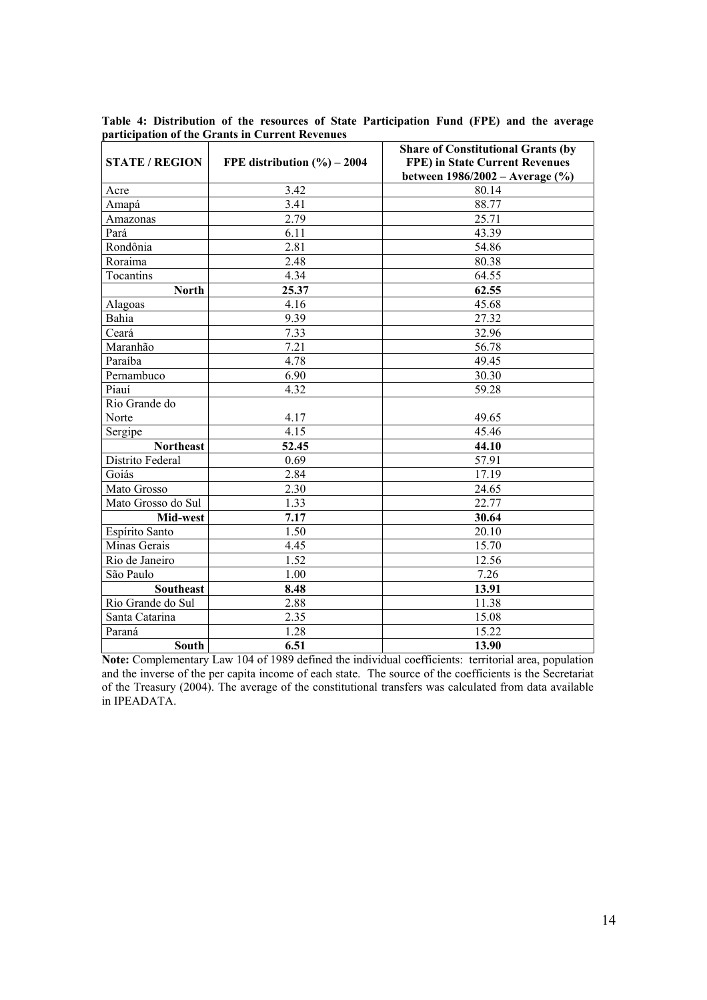|                       |                              | <b>Share of Constitutional Grants (by</b>                                |  |  |
|-----------------------|------------------------------|--------------------------------------------------------------------------|--|--|
| <b>STATE / REGION</b> | FPE distribution $(\%)-2004$ | <b>FPE) in State Current Revenues</b><br>between 1986/2002 - Average (%) |  |  |
| Acre                  | 3.42                         | 80.14                                                                    |  |  |
| Amapá                 | 3.41                         | 88.77                                                                    |  |  |
| Amazonas              | $\frac{1}{2.79}$             | 25.71                                                                    |  |  |
| Pará                  | 6.11                         | 43.39                                                                    |  |  |
| Rondônia              | 2.81                         | 54.86                                                                    |  |  |
| Roraima               | 2.48                         | 80.38                                                                    |  |  |
| Tocantins             | 4.34                         | 64.55                                                                    |  |  |
| <b>North</b>          | 25.37                        | 62.55                                                                    |  |  |
| Alagoas               | 4.16                         | 45.68                                                                    |  |  |
| Bahia                 | 9.39                         | 27.32                                                                    |  |  |
| Ceará                 | 7.33                         | 32.96                                                                    |  |  |
| Maranhão              | 7.21                         | 56.78                                                                    |  |  |
| Paraíba               | 4.78                         | 49.45                                                                    |  |  |
| Pernambuco            | 6.90                         | 30.30                                                                    |  |  |
| Piauí                 | 4.32                         | 59.28                                                                    |  |  |
| Rio Grande do         |                              |                                                                          |  |  |
| Norte                 | 4.17                         | 49.65                                                                    |  |  |
| Sergipe               | 4.15                         | 45.46                                                                    |  |  |
| <b>Northeast</b>      | 52.45                        | 44.10                                                                    |  |  |
| Distrito Federal      | 0.69                         | 57.91                                                                    |  |  |
| Goiás                 | 2.84                         | 17.19                                                                    |  |  |
| Mato Grosso           | 2.30                         | 24.65                                                                    |  |  |
| Mato Grosso do Sul    | 1.33                         | 22.77                                                                    |  |  |
| Mid-west              | 7.17                         | 30.64                                                                    |  |  |
| Espírito Santo        | 1.50                         | 20.10                                                                    |  |  |
| Minas Gerais          | 4.45                         | 15.70                                                                    |  |  |
| Rio de Janeiro        | 1.52                         | 12.56                                                                    |  |  |
| São Paulo             | 1.00                         | 7.26                                                                     |  |  |
| <b>Southeast</b>      | 8.48                         | 13.91                                                                    |  |  |
| Rio Grande do Sul     | 2.88                         | 11.38                                                                    |  |  |
| Santa Catarina        | 2.35                         | 15.08                                                                    |  |  |
| Paraná                | 1.28                         | 15.22                                                                    |  |  |
| <b>South</b>          | 6.51                         | 13.90                                                                    |  |  |

**Table 4: Distribution of the resources of State Participation Fund (FPE) and the average participation of the Grants in Current Revenues**

**Note:** Complementary Law 104 of 1989 defined the individual coefficients: territorial area, population and the inverse of the per capita income of each state. The source of the coefficients is the Secretariat of the Treasury (2004). The average of the constitutional transfers was calculated from data available in IPEADATA.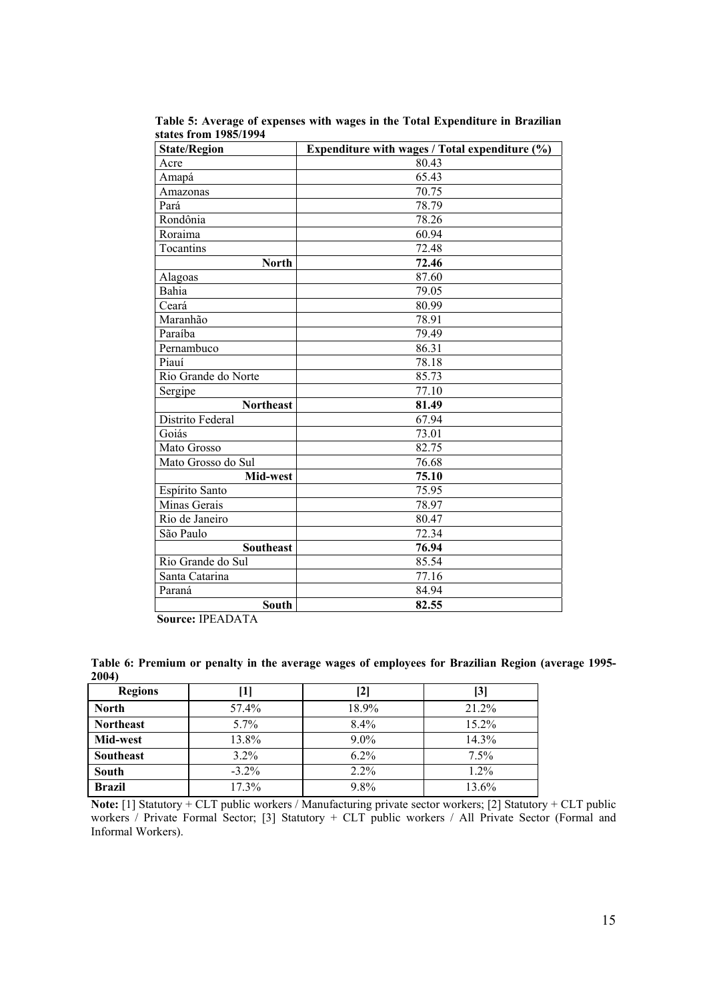| <b>State/Region</b> | Expenditure with wages / Total expenditure (%) |  |  |  |  |
|---------------------|------------------------------------------------|--|--|--|--|
| Acre                | 80.43                                          |  |  |  |  |
| Amapá               | 65.43                                          |  |  |  |  |
| Amazonas            | 70.75                                          |  |  |  |  |
| Pará                | 78.79                                          |  |  |  |  |
| Rondônia            | 78.26                                          |  |  |  |  |
| Roraima             | 60.94                                          |  |  |  |  |
| Tocantins           | 72.48                                          |  |  |  |  |
| <b>North</b>        | 72.46                                          |  |  |  |  |
| Alagoas             | 87.60                                          |  |  |  |  |
| Bahia               | 79.05                                          |  |  |  |  |
| Ceará               | 80.99                                          |  |  |  |  |
| Maranhão            | 78.91                                          |  |  |  |  |
| Paraíba             | 79.49                                          |  |  |  |  |
| Pernambuco          | 86.31                                          |  |  |  |  |
| Piauí               | 78.18                                          |  |  |  |  |
| Rio Grande do Norte | 85.73                                          |  |  |  |  |
| Sergipe             | 77.10                                          |  |  |  |  |
| <b>Northeast</b>    | 81.49                                          |  |  |  |  |
| Distrito Federal    | 67.94                                          |  |  |  |  |
| Goiás               | 73.01                                          |  |  |  |  |
| Mato Grosso         | 82.75                                          |  |  |  |  |
| Mato Grosso do Sul  | 76.68                                          |  |  |  |  |
| Mid-west            | 75.10                                          |  |  |  |  |
| Espírito Santo      | 75.95                                          |  |  |  |  |
| Minas Gerais        | 78.97                                          |  |  |  |  |
| Rio de Janeiro      | 80.47                                          |  |  |  |  |
| São Paulo           | 72.34                                          |  |  |  |  |
| <b>Southeast</b>    | 76.94                                          |  |  |  |  |
| Rio Grande do Sul   | 85.54                                          |  |  |  |  |
| Santa Catarina      | 77.16                                          |  |  |  |  |
| Paraná              | 84.94                                          |  |  |  |  |
| <b>South</b>        | 82.55                                          |  |  |  |  |

**Table 5: Average of expenses with wages in the Total Expenditure in Brazilian states from 1985/1994**

**Source:** IPEADATA

| Table 6: Premium or penalty in the average wages of employees for Brazilian Region (average 1995- |  |  |  |  |
|---------------------------------------------------------------------------------------------------|--|--|--|--|
| 2004                                                                                              |  |  |  |  |

| <b>Regions</b>   |         | [2]     | $\left\lceil 3 \right\rceil$ |
|------------------|---------|---------|------------------------------|
| <b>North</b>     | 57.4%   | 18.9%   | 21.2%                        |
| <b>Northeast</b> | 5.7%    | 8.4%    | $15.2\%$                     |
| Mid-west         | 13.8%   | $9.0\%$ | 14.3%                        |
| <b>Southeast</b> | 3.2%    | 6.2%    | 7.5%                         |
| <b>South</b>     | $-3.2%$ | 2.2%    | 1.2%                         |
| <b>Brazil</b>    | 17.3%   | 9.8%    | 13.6%                        |

**Note:** [1] Statutory + CLT public workers / Manufacturing private sector workers; [2] Statutory + CLT public workers / Private Formal Sector; [3] Statutory + CLT public workers / All Private Sector (Formal and Informal Workers).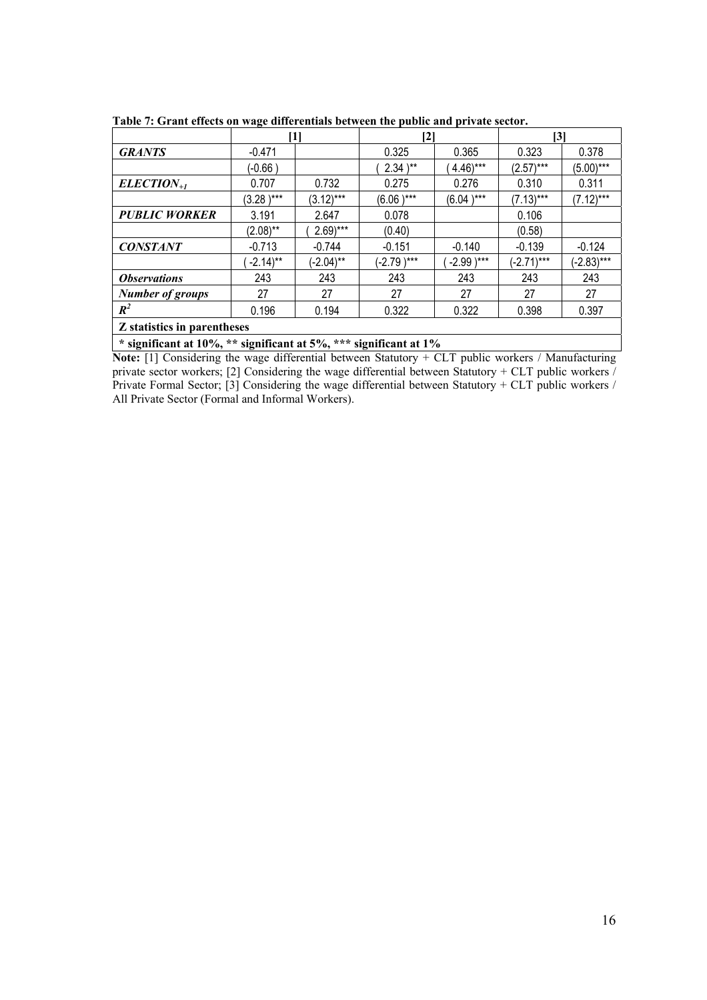|                             |                       |                       | $\mathbf{[2]}$ |                       | $\mathbf{[3]}$ |              |
|-----------------------------|-----------------------|-----------------------|----------------|-----------------------|----------------|--------------|
| <b>GRANTS</b>               | $-0.471$              |                       | 0.325          | 0.365                 | 0.323          | 0.378        |
|                             | (-0.66 )              |                       | $2.34$ )**     | $4.46$ <sup>***</sup> | $(2.57)***$    | $(5.00***$   |
| $ELECTION_{+1}$             | 0.707                 | 0.732                 | 0.275          | 0.276                 | 0.310          | 0.311        |
|                             | $(3.28)$ ***          | $(3.12)***$           | $(6.06)$ ***   | $(6.04)$ ***          | $(7.13)***$    | $(7.12)***$  |
| <b>PUBLIC WORKER</b>        | 3.191                 | 2.647                 | 0.078          |                       | 0.106          |              |
|                             | $(2.08)$ **           | $2.69$ <sup>***</sup> | (0.40)         |                       | (0.58)         |              |
| <b>CONSTANT</b>             | $-0.713$              | $-0.744$              | $-0.151$       | $-0.140$              | $-0.139$       | $-0.124$     |
|                             | $-2.14$ <sup>**</sup> | $(-2.04)$ **          | $(-2.79)$ ***  | $-2.99$ )***          | $(-2.71***$    | $(-2.83)***$ |
| <i><b>Observations</b></i>  | 243                   | 243                   | 243            | 243                   | 243            | 243          |
| <b>Number of groups</b>     | 27                    | 27                    | 27             | 27                    | 27             | 27           |
| $R^2$                       | 0.196                 | 0.194                 | 0.322          | 0.322                 | 0.398          | 0.397        |
| Z statistics in parentheses |                       |                       |                |                       |                |              |

**Table 7: Grant effects on wage differentials between the public and private sector.**

**Note:** [1] Considering the wage differential between Statutory + CLT public workers / Manufacturing private sector workers; [2] Considering the wage differential between Statutory + CLT public workers / Private Formal Sector; [3] Considering the wage differential between Statutory + CLT public workers / All Private Sector (Formal and Informal Workers).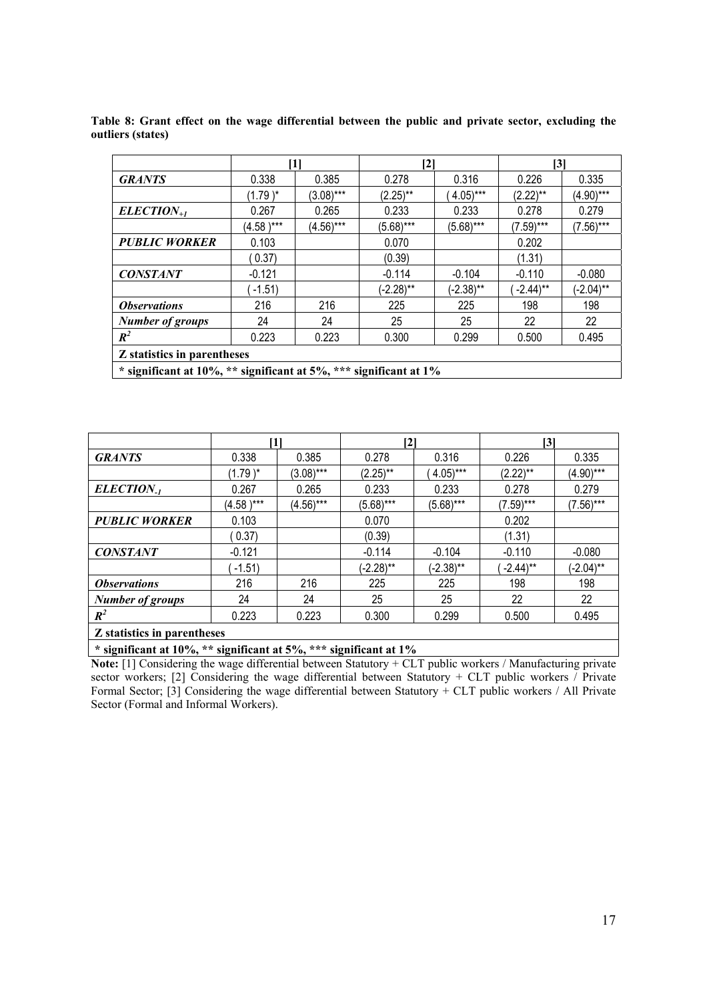|                                                                      |              | [1]         | $\mathbf{[2]}$ |                       | $\mathsf{[}3\mathsf{]}$ |              |  |
|----------------------------------------------------------------------|--------------|-------------|----------------|-----------------------|-------------------------|--------------|--|
| <b>GRANTS</b>                                                        | 0.338        | 0.385       | 0.278          | 0.316                 | 0.226                   | 0.335        |  |
|                                                                      | $(1.79)^*$   | $(3.08)***$ | $(2.25)$ **    | $4.05$ <sup>***</sup> | $(2.22)$ **             | $(4.90***$   |  |
| $ELECTION_{+1}$                                                      | 0.267        | 0.265       | 0.233          | 0.233                 | 0.278                   | 0.279        |  |
|                                                                      | $(4.58)$ *** | $(4.56)***$ | $(5.68)***$    | $(5.68)***$           | $(7.59)***$             | $(7.56)***$  |  |
| <b>PUBLIC WORKER</b>                                                 | 0.103        |             | 0.070          |                       | 0.202                   |              |  |
|                                                                      | 0.37)        |             | (0.39)         |                       | (1.31)                  |              |  |
| <b>CONSTANT</b>                                                      | $-0.121$     |             | $-0.114$       | $-0.104$              | $-0.110$                | $-0.080$     |  |
|                                                                      | $-1.51$      |             | $(-2.28)$ **   | $(-2.38)$ **          | $-2.44$ <sup>**</sup>   | $(-2.04)$ ** |  |
| <i><b>Observations</b></i>                                           | 216          | 216         | 225            | 225                   | 198                     | 198          |  |
| <b>Number of groups</b>                                              | 24           | 24          | 25             | 25                    | 22                      | 22           |  |
| $R^2$                                                                | 0.223        | 0.223       | 0.300          | 0.299                 | 0.500                   | 0.495        |  |
| Z statistics in parentheses                                          |              |             |                |                       |                         |              |  |
| * significant at 10%, ** significant at 5%, *** significant at $1\%$ |              |             |                |                       |                         |              |  |

**Table 8: Grant effect on the wage differential between the public and private sector, excluding the outliers (states)**

|                                                                                                                                                                                                                                                                                                           | [1]          |             | [2]          |                       | [3]                   |              |
|-----------------------------------------------------------------------------------------------------------------------------------------------------------------------------------------------------------------------------------------------------------------------------------------------------------|--------------|-------------|--------------|-----------------------|-----------------------|--------------|
| <b>GRANTS</b>                                                                                                                                                                                                                                                                                             | 0.338        | 0.385       | 0.278        | 0.316                 | 0.226                 | 0.335        |
|                                                                                                                                                                                                                                                                                                           | $(1.79)^*$   | $(3.08)***$ | $(2.25)$ **  | $4.05$ <sup>***</sup> | $(2.22)$ **           | $(4.90***$   |
| ELECTION <sub>-1</sub>                                                                                                                                                                                                                                                                                    | 0.267        | 0.265       | 0.233        | 0.233                 | 0.278                 | 0.279        |
|                                                                                                                                                                                                                                                                                                           | $(4.58)$ *** | $(4.56)***$ | $(5.68)***$  | $(5.68)***$           | $(7.59)***$           | $(7.56)***$  |
| <b>PUBLIC WORKER</b>                                                                                                                                                                                                                                                                                      | 0.103        |             | 0.070        |                       | 0.202                 |              |
|                                                                                                                                                                                                                                                                                                           | 0.37)        |             | (0.39)       |                       | (1.31)                |              |
| <b>CONSTANT</b>                                                                                                                                                                                                                                                                                           | $-0.121$     |             | $-0.114$     | $-0.104$              | $-0.110$              | $-0.080$     |
|                                                                                                                                                                                                                                                                                                           | $-1.51$      |             | $(-2.28)$ ** | $(-2.38)$ **          | $-2.44$ <sup>**</sup> | $(-2.04)$ ** |
| <i><b>Observations</b></i>                                                                                                                                                                                                                                                                                | 216          | 216         | 225          | 225                   | 198                   | 198          |
| <b>Number of groups</b>                                                                                                                                                                                                                                                                                   | 24           | 24          | 25           | 25                    | 22                    | 22           |
| $R^2$                                                                                                                                                                                                                                                                                                     | 0.223        | 0.223       | 0.300        | 0.299                 | 0.500                 | 0.495        |
| Z statistics in parentheses                                                                                                                                                                                                                                                                               |              |             |              |                       |                       |              |
| $\frac{1}{2}$ , $\frac{1}{2}$ , $\frac{1}{2}$ , $\frac{1}{2}$ , $\frac{1}{2}$ , $\frac{1}{2}$ , $\frac{1}{2}$ , $\frac{1}{2}$ , $\frac{1}{2}$ , $\frac{1}{2}$ , $\frac{1}{2}$ , $\frac{1}{2}$ , $\frac{1}{2}$ , $\frac{1}{2}$ , $\frac{1}{2}$ , $\frac{1}{2}$ , $\frac{1}{2}$ , $\frac{1}{2}$ , $\frac{1$ |              |             |              |                       |                       |              |

**Note:** [1] Considering the wage differential between Statutory + CLT public workers / Manufacturing private sector workers; [2] Considering the wage differential between Statutory + CLT public workers / Private Formal Sector; [3] Considering the wage differential between Statutory + CLT public workers / All Private Sector (Formal and Informal Workers).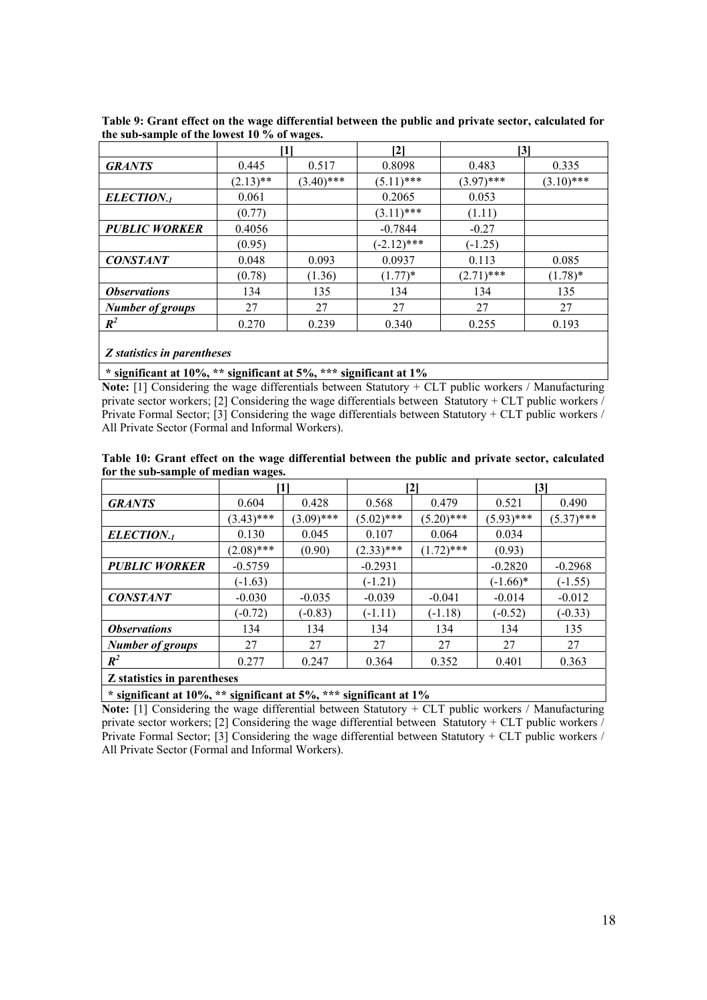|                             |             | [1]          | [2]           |              | $\mathsf{[3]}$ |  |  |
|-----------------------------|-------------|--------------|---------------|--------------|----------------|--|--|
| <b>GRANTS</b>               | 0.445       | 0.517        | 0.8098        | 0.483        | 0.335          |  |  |
|                             | $(2.13)$ ** | $(3.40)$ *** | $(5.11)$ ***  | $(3.97)$ *** | $(3.10)$ ***   |  |  |
| ELECTION <sub>-1</sub>      | 0.061       |              | 0.2065        | 0.053        |                |  |  |
|                             | (0.77)      |              | $(3.11)$ ***  | (1.11)       |                |  |  |
| <b>PUBLIC WORKER</b>        | 0.4056      |              | $-0.7844$     | $-0.27$      |                |  |  |
|                             | (0.95)      |              | $(-2.12)$ *** | $(-1.25)$    |                |  |  |
| <b>CONSTANT</b>             | 0.048       | 0.093        | 0.0937        | 0.113        | 0.085          |  |  |
|                             | (0.78)      | (1.36)       | $(1.77)^*$    | $(2.71)$ *** | $(1.78)^*$     |  |  |
| <i><b>Observations</b></i>  | 134         | 135          | 134           | 134          | 135            |  |  |
| <b>Number of groups</b>     | 27          | 27           | 27            | 27           | 27             |  |  |
| $R^2$                       | 0.270       | 0.239        | 0.340         | 0.255        | 0.193          |  |  |
| Z statistics in parentheses |             |              |               |              |                |  |  |

**Table 9: Grant effect on the wage differential between the public and private sector, calculated for the sub-sample of the lowest 10 % of wages.**

**Note:** [1] Considering the wage differentials between Statutory + CLT public workers / Manufacturing private sector workers; [2] Considering the wage differentials between Statutory + CLT public workers / Private Formal Sector; [3] Considering the wage differentials between Statutory + CLT public workers / All Private Sector (Formal and Informal Workers).

|                                    |              |              |              | $\left[ 2\right]$ |            | [3]          |
|------------------------------------|--------------|--------------|--------------|-------------------|------------|--------------|
| <b>GRANTS</b>                      | 0.604        | 0.428        | 0.568        | 0.479             | 0.521      | 0.490        |
|                                    | $(3.43)$ *** | $(3.09)$ *** | $(5.02)$ *** | $(5.20)$ ***      | (5.93)***  | $(5.37)$ *** |
| ELECTION <sub>-1</sub>             | 0.130        | 0.045        | 0.107        | 0.064             | 0.034      |              |
|                                    | $(2.08)$ *** | (0.90)       | $(2.33)$ *** | $(1.72)$ ***      | (0.93)     |              |
| <b>PUBLIC WORKER</b>               | $-0.5759$    |              | $-0.2931$    |                   | $-0.2820$  | $-0.2968$    |
|                                    | $(-1.63)$    |              | $(-1.21)$    |                   | $(-1.66)*$ | $(-1.55)$    |
| <b>CONSTANT</b>                    | $-0.030$     | $-0.035$     | $-0.039$     | $-0.041$          | $-0.014$   | $-0.012$     |
|                                    | $(-0.72)$    | $(-0.83)$    | $(-1.11)$    | $(-1.18)$         | $(-0.52)$  | $(-0.33)$    |
| <i><b>Observations</b></i>         | 134          | 134          | 134          | 134               | 134        | 135          |
| <b>Number of groups</b>            | 27           | 27           | 27           | 27                | 27         | 27           |
| $R^2$                              | 0.277        | 0.247        | 0.364        | 0.352             | 0.401      | 0.363        |
| <b>Z</b> statistics in parentheses |              |              |              |                   |            |              |

**Table 10: Grant effect on the wage differential between the public and private sector, calculated for the sub-sample of median wages.**

**\* significant at 10%, \*\* significant at 5%, \*\*\* significant at 1%**

**Note:** [1] Considering the wage differential between Statutory + CLT public workers / Manufacturing private sector workers; [2] Considering the wage differential between Statutory + CLT public workers / Private Formal Sector; [3] Considering the wage differential between Statutory + CLT public workers / All Private Sector (Formal and Informal Workers).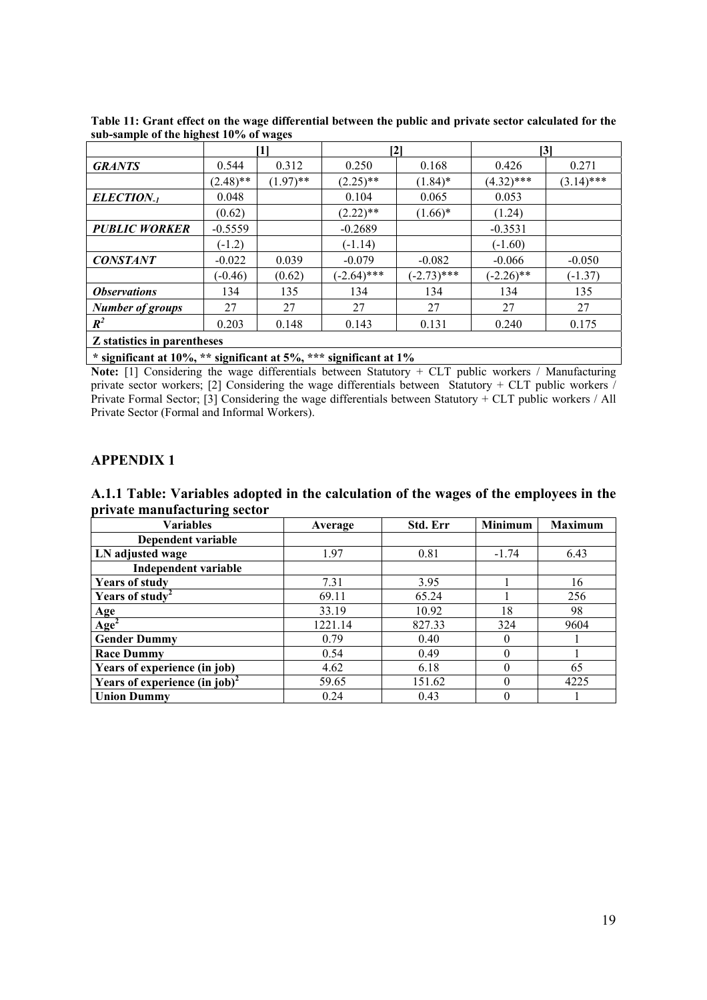|                             |             | [1]         | $\mathbf{[2]}$                                                                                                 |               |              | $\mathbf{[3]}$ |
|-----------------------------|-------------|-------------|----------------------------------------------------------------------------------------------------------------|---------------|--------------|----------------|
| <b>GRANTS</b>               | 0.544       | 0.312       | 0.250                                                                                                          | 0.168         | 0.426        | 0.271          |
|                             | $(2.48)$ ** | $(1.97)$ ** | $(2.25)$ **                                                                                                    | $(1.84)$ *    | $(4.32)$ *** | $(3.14)$ ***   |
| ELECTION <sub>-1</sub>      | 0.048       |             | 0.104                                                                                                          | 0.065         | 0.053        |                |
|                             | (0.62)      |             | $(2.22)$ **                                                                                                    | $(1.66)*$     | (1.24)       |                |
| <b>PUBLIC WORKER</b>        | $-0.5559$   |             | $-0.2689$                                                                                                      |               | $-0.3531$    |                |
|                             | $(-1.2)$    |             | $(-1.14)$                                                                                                      |               | $(-1.60)$    |                |
| <b>CONSTANT</b>             | $-0.022$    | 0.039       | $-0.079$                                                                                                       | $-0.082$      | $-0.066$     | $-0.050$       |
|                             | $(-0.46)$   | (0.62)      | $(-2.64)$ ***                                                                                                  | $(-2.73)$ *** | $(-2.26)$ ** | $(-1.37)$      |
| <i><b>Observations</b></i>  | 134         | 135         | 134                                                                                                            | 134           | 134          | 135            |
| <b>Number of groups</b>     | 27          | 27          | 27                                                                                                             | 27            | 27           | 27             |
| $R^2$                       | 0.203       | 0.148       | 0.143                                                                                                          | 0.131         | 0.240        | 0.175          |
| Z statistics in parentheses |             |             | يمنا بمصدا والمساحين والمستناة والمستناة والمستناة والمستناة والمستناة والمستناة والمستناة والمستناة والمستناة |               |              |                |

**Table 11: Grant effect on the wage differential between the public and private sector calculated for the sub-sample of the highest 10% of wages**

**Note:** [1] Considering the wage differentials between Statutory + CLT public workers / Manufacturing private sector workers; [2] Considering the wage differentials between Statutory + CLT public workers / Private Formal Sector; [3] Considering the wage differentials between Statutory + CLT public workers / All Private Sector (Formal and Informal Workers).

## **APPENDIX 1**

**A.1.1 Table: Variables adopted in the calculation of the wages of the employees in the private manufacturing sector**

| <b>Variables</b>                | Average | Std. Err | <b>Minimum</b> | <b>Maximum</b> |
|---------------------------------|---------|----------|----------------|----------------|
| Dependent variable              |         |          |                |                |
| LN adjusted wage                | 1.97    | 0.81     | $-1.74$        | 6.43           |
| Independent variable            |         |          |                |                |
| <b>Years of study</b>           | 7.31    | 3.95     |                | 16             |
| Years of study <sup>2</sup>     | 69.11   | 65.24    |                | 256            |
|                                 | 33.19   | 10.92    | 18             | 98             |
| $\frac{Age}{Age^2}$             | 1221.14 | 827.33   | 324            | 9604           |
| <b>Gender Dummy</b>             | 0.79    | 0.40     |                |                |
| <b>Race Dummy</b>               | 0.54    | 0.49     |                |                |
| Years of experience (in job)    | 4.62    | 6.18     |                | 65             |
| Years of experience $(in job)2$ | 59.65   | 151.62   |                | 4225           |
| <b>Union Dummy</b>              | 0.24    | 0.43     |                |                |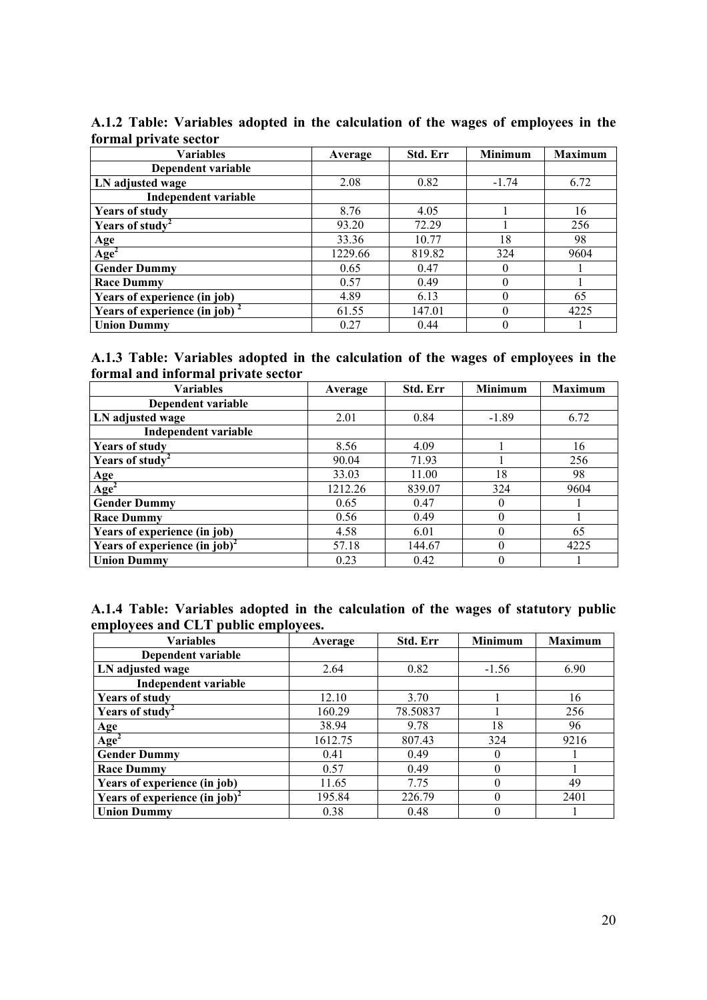| <b>Variables</b>                  | Average | Std. Err | <b>Minimum</b> | <b>Maximum</b> |
|-----------------------------------|---------|----------|----------------|----------------|
| Dependent variable                |         |          |                |                |
| LN adjusted wage                  | 2.08    | 0.82     | $-1.74$        | 6.72           |
| Independent variable              |         |          |                |                |
| <b>Years of study</b>             | 8.76    | 4.05     |                | 16             |
| Years of study                    | 93.20   | 72.29    |                | 256            |
|                                   | 33.36   | 10.77    | 18             | 98             |
| $\frac{\text{Age}}{\text{Age}^2}$ | 1229.66 | 819.82   | 324            | 9604           |
| <b>Gender Dummy</b>               | 0.65    | 0.47     |                |                |
| <b>Race Dummy</b>                 | 0.57    | 0.49     | $\Omega$       |                |
| Years of experience (in job)      | 4.89    | 6.13     |                | 65             |
| Years of experience (in job) $2$  | 61.55   | 147.01   |                | 4225           |
| <b>Union Dummy</b>                | 0.27    | 0.44     |                |                |

**A.1.2 Table: Variables adopted in the calculation of the wages of employees in the formal private sector**

| A.1.3 Table: Variables adopted in the calculation of the wages of employees in the |  |  |  |  |  |
|------------------------------------------------------------------------------------|--|--|--|--|--|
| formal and informal private sector                                                 |  |  |  |  |  |

| <b>Variables</b>                          | Average | Std. Err | Minimum  | <b>Maximum</b> |
|-------------------------------------------|---------|----------|----------|----------------|
| Dependent variable                        |         |          |          |                |
| LN adjusted wage                          | 2.01    | 0.84     | $-1.89$  | 6.72           |
| <b>Independent variable</b>               |         |          |          |                |
| <b>Years of study</b>                     | 8.56    | 4.09     |          | 16             |
| Years of study                            | 90.04   | 71.93    |          | 256            |
|                                           | 33.03   | 11.00    | 18       | 98             |
| Age <sup>2</sup>                          | 1212.26 | 839.07   | 324      | 9604           |
| <b>Gender Dummy</b>                       | 0.65    | 0.47     | $\theta$ |                |
| <b>Race Dummy</b>                         | 0.56    | 0.49     | $\theta$ |                |
| Years of experience (in job)              | 4.58    | 6.01     | $\theta$ | 65             |
| Years of experience (in job) <sup>2</sup> | 57.18   | 144.67   | $\theta$ | 4225           |
| <b>Union Dummy</b>                        | 0.23    | 0.42     | 0        |                |

|  |                                     |  | A.1.4 Table: Variables adopted in the calculation of the wages of statutory public |  |  |  |
|--|-------------------------------------|--|------------------------------------------------------------------------------------|--|--|--|
|  | employees and CLT public employees. |  |                                                                                    |  |  |  |

| <b>Variables</b>                          | Average | Std. Err | <b>Minimum</b> | <b>Maximum</b> |
|-------------------------------------------|---------|----------|----------------|----------------|
| Dependent variable                        |         |          |                |                |
| LN adjusted wage                          | 2.64    | 0.82     | $-1.56$        | 6.90           |
| <b>Independent variable</b>               |         |          |                |                |
| <b>Years of study</b>                     | 12.10   | 3.70     |                | 16             |
| Years of study <sup>2</sup>               | 160.29  | 78.50837 |                | 256            |
|                                           | 38.94   | 9.78     | 18             | 96             |
| $\frac{Age}{Age^2}$                       | 1612.75 | 807.43   | 324            | 9216           |
| <b>Gender Dummy</b>                       | 0.41    | 0.49     | 0              |                |
| <b>Race Dummy</b>                         | 0.57    | 0.49     | $\theta$       |                |
| Years of experience (in job)              | 11.65   | 7.75     | $\theta$       | 49             |
| Years of experience (in job) <sup>2</sup> | 195.84  | 226.79   | $\Omega$       | 2401           |
| <b>Union Dummy</b>                        | 0.38    | 0.48     | $\theta$       |                |